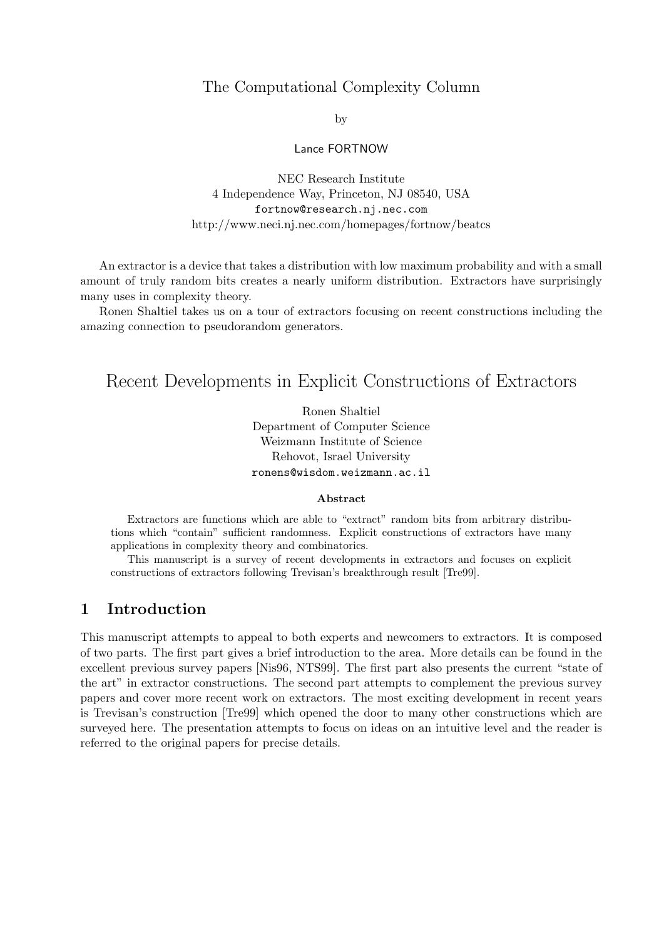# The Computational Complexity Column

by

Lance FORTNOW

NEC Research Institute 4 Independence Way, Princeton, NJ 08540, USA fortnow@research.nj.nec.com http://www.neci.nj.nec.com/homepages/fortnow/beatcs

An extractor is a device that takes a distribution with low maximum probability and with a small amount of truly random bits creates a nearly uniform distribution. Extractors have surprisingly many uses in complexity theory.

Ronen Shaltiel takes us on a tour of extractors focusing on recent constructions including the amazing connection to pseudorandom generators.

# Recent Developments in Explicit Constructions of Extractors

Ronen Shaltiel Department of Computer Science Weizmann Institute of Science Rehovot, Israel University ronens@wisdom.weizmann.ac.il

#### Abstract

Extractors are functions which are able to "extract" random bits from arbitrary distributions which "contain" sufficient randomness. Explicit constructions of extractors have many applications in complexity theory and combinatorics.

This manuscript is a survey of recent developments in extractors and focuses on explicit constructions of extractors following Trevisan's breakthrough result [Tre99].

# 1 Introduction

This manuscript attempts to appeal to both experts and newcomers to extractors. It is composed of two parts. The first part gives a brief introduction to the area. More details can be found in the excellent previous survey papers [Nis96, NTS99]. The first part also presents the current "state of the art" in extractor constructions. The second part attempts to complement the previous survey papers and cover more recent work on extractors. The most exciting development in recent years is Trevisan's construction [Tre99] which opened the door to many other constructions which are surveyed here. The presentation attempts to focus on ideas on an intuitive level and the reader is referred to the original papers for precise details.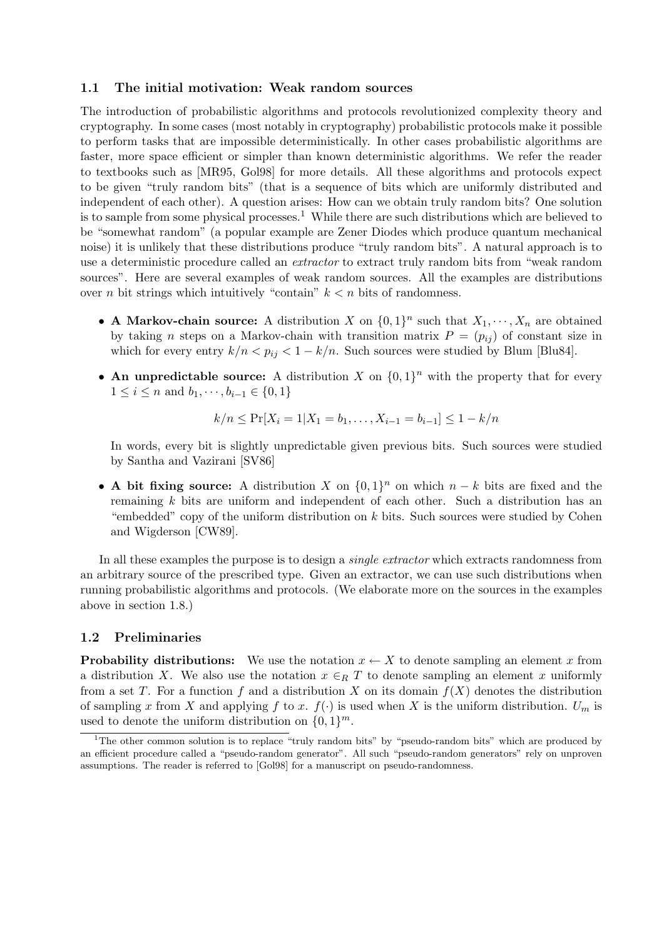#### 1.1 The initial motivation: Weak random sources

The introduction of probabilistic algorithms and protocols revolutionized complexity theory and cryptography. In some cases (most notably in cryptography) probabilistic protocols make it possible to perform tasks that are impossible deterministically. In other cases probabilistic algorithms are faster, more space efficient or simpler than known deterministic algorithms. We refer the reader to textbooks such as [MR95, Gol98] for more details. All these algorithms and protocols expect to be given "truly random bits" (that is a sequence of bits which are uniformly distributed and independent of each other). A question arises: How can we obtain truly random bits? One solution is to sample from some physical processes.<sup>1</sup> While there are such distributions which are believed to be "somewhat random" (a popular example are Zener Diodes which produce quantum mechanical noise) it is unlikely that these distributions produce "truly random bits". A natural approach is to use a deterministic procedure called an *extractor* to extract truly random bits from "weak random sources". Here are several examples of weak random sources. All the examples are distributions over *n* bit strings which intuitively "contain"  $k < n$  bits of randomness.

- A Markov-chain source: A distribution X on  $\{0,1\}^n$  such that  $X_1, \dots, X_n$  are obtained by taking *n* steps on a Markov-chain with transition matrix  $P = (p_{ij})$  of constant size in which for every entry  $k/n < p_{ij} < 1 - k/n$ . Such sources were studied by Blum [Blu84].
- An unpredictable source: A distribution X on  $\{0,1\}^n$  with the property that for every  $1 \leq i \leq n$  and  $b_1, \dots, b_{i-1} \in \{0, 1\}$

$$
k/n \le \Pr[X_i = 1 | X_1 = b_1, \dots, X_{i-1} = b_{i-1}] \le 1 - k/n
$$

In words, every bit is slightly unpredictable given previous bits. Such sources were studied by Santha and Vazirani [SV86]

• A bit fixing source: A distribution X on  $\{0,1\}^n$  on which  $n-k$  bits are fixed and the remaining k bits are uniform and independent of each other. Such a distribution has an "embedded" copy of the uniform distribution on  $k$  bits. Such sources were studied by Cohen and Wigderson [CW89].

In all these examples the purpose is to design a *single extractor* which extracts randomness from an arbitrary source of the prescribed type. Given an extractor, we can use such distributions when running probabilistic algorithms and protocols. (We elaborate more on the sources in the examples above in section 1.8.)

## 1.2 Preliminaries

**Probability distributions:** We use the notation  $x \leftarrow X$  to denote sampling an element x from a distribution X. We also use the notation  $x \in_R T$  to denote sampling an element x uniformly from a set T. For a function f and a distribution X on its domain  $f(X)$  denotes the distribution of sampling x from X and applying f to x.  $f(.)$  is used when X is the uniform distribution.  $U_m$  is used to denote the uniform distribution on  $\{0,1\}^m$ .

<sup>&</sup>lt;sup>1</sup>The other common solution is to replace "truly random bits" by "pseudo-random bits" which are produced by an efficient procedure called a "pseudo-random generator". All such "pseudo-random generators" rely on unproven assumptions. The reader is referred to [Gol98] for a manuscript on pseudo-randomness.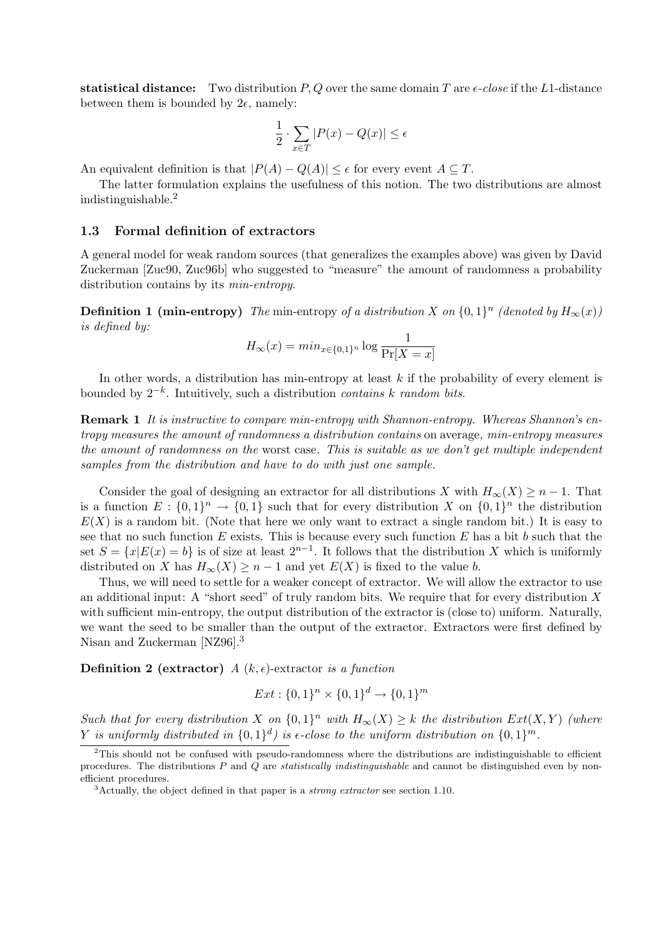statistical distance: Two distribution P, Q over the same domain T are  $\epsilon$ -close if the L1-distance between them is bounded by  $2\epsilon$ , namely:

$$
\frac{1}{2} \cdot \sum_{x \in T} |P(x) - Q(x)| \le \epsilon
$$

An equivalent definition is that  $|P(A) - Q(A)| \leq \epsilon$  for every event  $A \subseteq T$ .

The latter formulation explains the usefulness of this notion. The two distributions are almost indistinguishable.<sup>2</sup>

## 1.3 Formal definition of extractors

A general model for weak random sources (that generalizes the examples above) was given by David Zuckerman [Zuc90, Zuc96b] who suggested to "measure" the amount of randomness a probability distribution contains by its min-entropy.

**Definition 1 (min-entropy)** The min-entropy of a distribution X on  $\{0,1\}^n$  (denoted by  $H_{\infty}(x)$ ) is defined by:

$$
H_{\infty}(x) = \min_{x \in \{0,1\}^n} \log \frac{1}{\Pr[X=x]}
$$

In other words, a distribution has min-entropy at least  $k$  if the probability of every element is bounded by  $2^{-k}$ . Intuitively, such a distribution *contains k random bits*.

Remark 1 It is instructive to compare min-entropy with Shannon-entropy. Whereas Shannon's entropy measures the amount of randomness a distribution contains on average, min-entropy measures the amount of randomness on the worst case. This is suitable as we don't get multiple independent samples from the distribution and have to do with just one sample.

Consider the goal of designing an extractor for all distributions X with  $H_{\infty}(X) \geq n-1$ . That is a function  $E: \{0,1\}^n \to \{0,1\}$  such that for every distribution X on  $\{0,1\}^n$  the distribution  $E(X)$  is a random bit. (Note that here we only want to extract a single random bit.) It is easy to see that no such function  $E$  exists. This is because every such function  $E$  has a bit  $b$  such that the set  $S = \{x | E(x) = b\}$  is of size at least  $2^{n-1}$ . It follows that the distribution X which is uniformly distributed on X has  $H_{\infty}(X) \geq n-1$  and yet  $E(X)$  is fixed to the value b.

Thus, we will need to settle for a weaker concept of extractor. We will allow the extractor to use an additional input: A "short seed" of truly random bits. We require that for every distribution  $X$ with sufficient min-entropy, the output distribution of the extractor is (close to) uniform. Naturally, we want the seed to be smaller than the output of the extractor. Extractors were first defined by Nisan and Zuckerman [NZ96].<sup>3</sup>

**Definition 2 (extractor)** A  $(k, \epsilon)$ -extractor is a function

$$
Ext: \{0,1\}^n \times \{0,1\}^d \to \{0,1\}^m
$$

Such that for every distribution X on  $\{0,1\}^n$  with  $H_\infty(X) \geq k$  the distribution  $Ext(X, Y)$  (where Y is uniformly distributed in  $\{0,1\}^d$  is  $\epsilon$ -close to the uniform distribution on  $\{0,1\}^m$ .

<sup>2</sup>This should not be confused with pseudo-randomness where the distributions are indistinguishable to efficient procedures. The distributions  $P$  and  $Q$  are *statistically indistinguishable* and cannot be distinguished even by nonefficient procedures.

<sup>&</sup>lt;sup>3</sup>Actually, the object defined in that paper is a *strong extractor* see section 1.10.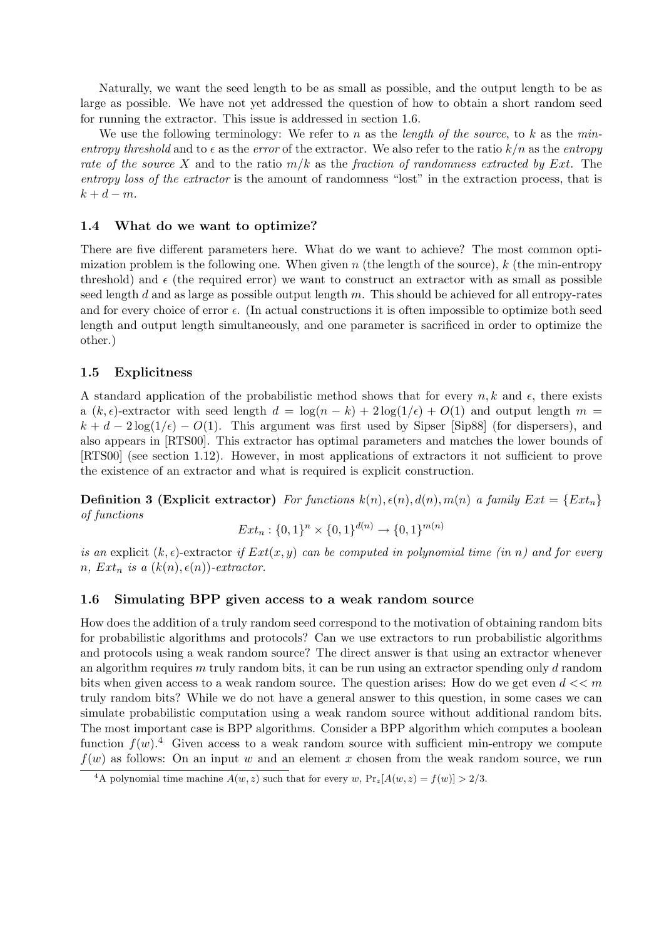Naturally, we want the seed length to be as small as possible, and the output length to be as large as possible. We have not yet addressed the question of how to obtain a short random seed for running the extractor. This issue is addressed in section 1.6.

We use the following terminology: We refer to n as the *length* of the source, to k as the minentropy threshold and to  $\epsilon$  as the error of the extractor. We also refer to the ratio  $k/n$  as the entropy rate of the source X and to the ratio  $m/k$  as the fraction of randomness extracted by Ext. The entropy loss of the extractor is the amount of randomness "lost" in the extraction process, that is  $k + d - m$ .

## 1.4 What do we want to optimize?

There are five different parameters here. What do we want to achieve? The most common optimization problem is the following one. When given n (the length of the source), k (the min-entropy threshold) and  $\epsilon$  (the required error) we want to construct an extractor with as small as possible seed length  $d$  and as large as possible output length  $m$ . This should be achieved for all entropy-rates and for every choice of error  $\epsilon$ . (In actual constructions it is often impossible to optimize both seed length and output length simultaneously, and one parameter is sacrificed in order to optimize the other.)

## 1.5 Explicitness

A standard application of the probabilistic method shows that for every  $n, k$  and  $\epsilon$ , there exists a  $(k, \epsilon)$ -extractor with seed length  $d = \log(n - k) + 2\log(1/\epsilon) + O(1)$  and output length  $m =$  $k + d - 2\log(1/\epsilon) - O(1)$ . This argument was first used by Sipser [Sip88] (for dispersers), and also appears in [RTS00]. This extractor has optimal parameters and matches the lower bounds of [RTS00] (see section 1.12). However, in most applications of extractors it not sufficient to prove the existence of an extractor and what is required is explicit construction.

**Definition 3 (Explicit extractor)** For functions  $k(n)$ ,  $\epsilon(n)$ ,  $d(n)$ ,  $m(n)$  a family  $Ext = \{Ext_n\}$ of functions

$$
Ext_n: \{0,1\}^n \times \{0,1\}^{d(n)} \to \{0,1\}^{m(n)}
$$

is an explicit  $(k, \epsilon)$ -extractor if  $Ext(x, y)$  can be computed in polynomial time (in n) and for every n,  $Ext_n$  is a  $(k(n), \epsilon(n))$ -extractor.

## 1.6 Simulating BPP given access to a weak random source

How does the addition of a truly random seed correspond to the motivation of obtaining random bits for probabilistic algorithms and protocols? Can we use extractors to run probabilistic algorithms and protocols using a weak random source? The direct answer is that using an extractor whenever an algorithm requires m truly random bits, it can be run using an extractor spending only  $d$  random bits when given access to a weak random source. The question arises: How do we get even  $d \ll m$ truly random bits? While we do not have a general answer to this question, in some cases we can simulate probabilistic computation using a weak random source without additional random bits. The most important case is BPP algorithms. Consider a BPP algorithm which computes a boolean function  $f(w)$ <sup>4</sup>. Given access to a weak random source with sufficient min-entropy we compute  $f(w)$  as follows: On an input w and an element x chosen from the weak random source, we run

<sup>&</sup>lt;sup>4</sup>A polynomial time machine  $A(w, z)$  such that for every w,  $Pr_z[A(w, z) = f(w)] > 2/3$ .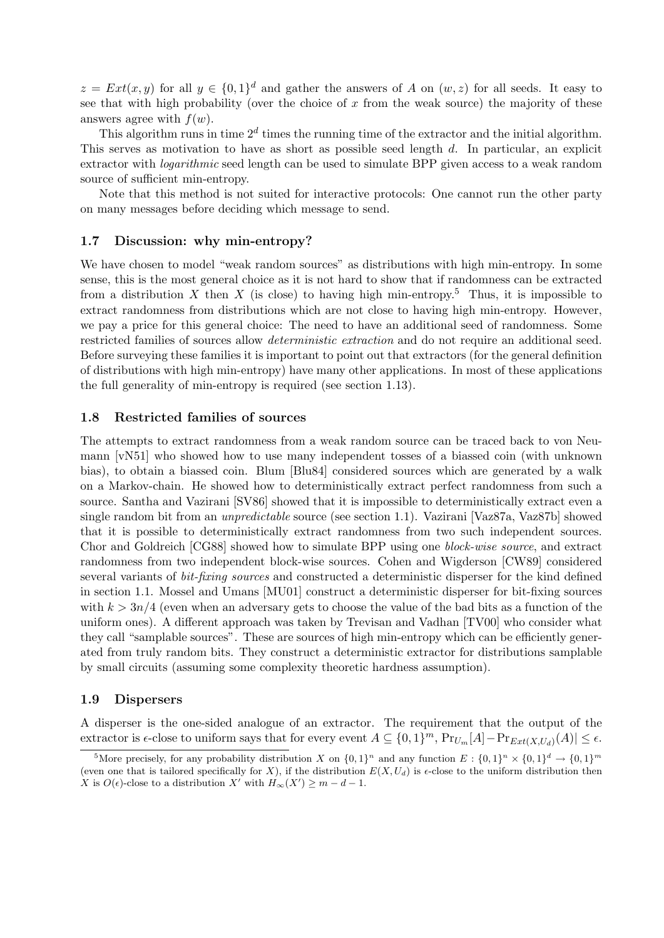$z = Ext(x, y)$  for all  $y \in \{0, 1\}^d$  and gather the answers of A on  $(w, z)$  for all seeds. It easy to see that with high probability (over the choice of  $x$  from the weak source) the majority of these answers agree with  $f(w)$ .

This algorithm runs in time  $2^d$  times the running time of the extractor and the initial algorithm. This serves as motivation to have as short as possible seed length d. In particular, an explicit extractor with logarithmic seed length can be used to simulate BPP given access to a weak random source of sufficient min-entropy.

Note that this method is not suited for interactive protocols: One cannot run the other party on many messages before deciding which message to send.

## 1.7 Discussion: why min-entropy?

We have chosen to model "weak random sources" as distributions with high min-entropy. In some sense, this is the most general choice as it is not hard to show that if randomness can be extracted from a distribution X then X (is close) to having high min-entropy.<sup>5</sup> Thus, it is impossible to extract randomness from distributions which are not close to having high min-entropy. However, we pay a price for this general choice: The need to have an additional seed of randomness. Some restricted families of sources allow deterministic extraction and do not require an additional seed. Before surveying these families it is important to point out that extractors (for the general definition of distributions with high min-entropy) have many other applications. In most of these applications the full generality of min-entropy is required (see section 1.13).

#### 1.8 Restricted families of sources

The attempts to extract randomness from a weak random source can be traced back to von Neumann [vN51] who showed how to use many independent tosses of a biassed coin (with unknown bias), to obtain a biassed coin. Blum [Blu84] considered sources which are generated by a walk on a Markov-chain. He showed how to deterministically extract perfect randomness from such a source. Santha and Vazirani [SV86] showed that it is impossible to deterministically extract even a single random bit from an *unpredictable* source (see section 1.1). Vazirani [Vaz87a, Vaz87b] showed that it is possible to deterministically extract randomness from two such independent sources. Chor and Goldreich [CG88] showed how to simulate BPP using one block-wise source, and extract randomness from two independent block-wise sources. Cohen and Wigderson [CW89] considered several variants of *bit-fixing sources* and constructed a deterministic disperser for the kind defined in section 1.1. Mossel and Umans [MU01] construct a deterministic disperser for bit-fixing sources with  $k > 3n/4$  (even when an adversary gets to choose the value of the bad bits as a function of the uniform ones). A different approach was taken by Trevisan and Vadhan [TV00] who consider what they call "samplable sources". These are sources of high min-entropy which can be efficiently generated from truly random bits. They construct a deterministic extractor for distributions samplable by small circuits (assuming some complexity theoretic hardness assumption).

## 1.9 Dispersers

A disperser is the one-sided analogue of an extractor. The requirement that the output of the extractor is  $\epsilon$ -close to uniform says that for every event  $A \subseteq \{0,1\}^m$ ,  $Pr_{U_m}[A] - Pr_{Ext(X,U_d)}(A)| \leq \epsilon$ .

<sup>&</sup>lt;sup>5</sup>More precisely, for any probability distribution X on  $\{0,1\}^n$  and any function  $E: \{0,1\}^n \times \{0,1\}^d \to \{0,1\}^m$ (even one that is tailored specifically for X), if the distribution  $E(X, U_d)$  is  $\epsilon$ -close to the uniform distribution then X is  $O(\epsilon)$ -close to a distribution X' with  $H_{\infty}(X') \geq m - d - 1$ .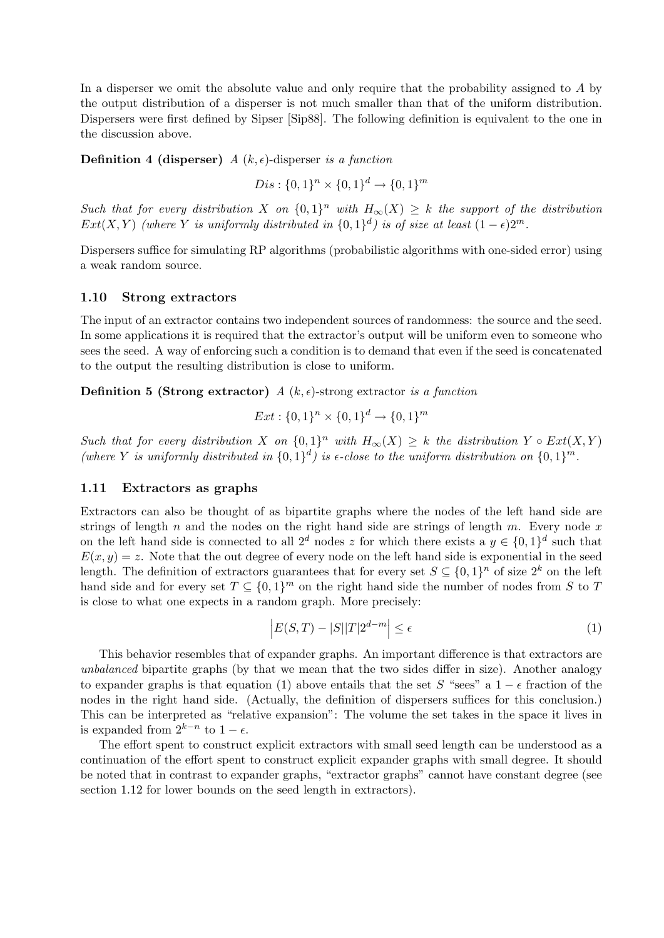In a disperser we omit the absolute value and only require that the probability assigned to A by the output distribution of a disperser is not much smaller than that of the uniform distribution. Dispersers were first defined by Sipser [Sip88]. The following definition is equivalent to the one in the discussion above.

**Definition 4 (disperser)** A  $(k, \epsilon)$ -disperser is a function

 $Dis: \{0,1\}^n \times \{0,1\}^d \rightarrow \{0,1\}^m$ 

Such that for every distribution X on  $\{0,1\}^n$  with  $H_\infty(X) \geq k$  the support of the distribution  $Ext(X,Y)$  (where Y is uniformly distributed in  $\{0,1\}^d$ ) is of size at least  $(1-\epsilon)2^m$ .

Dispersers suffice for simulating RP algorithms (probabilistic algorithms with one-sided error) using a weak random source.

#### 1.10 Strong extractors

The input of an extractor contains two independent sources of randomness: the source and the seed. In some applications it is required that the extractor's output will be uniform even to someone who sees the seed. A way of enforcing such a condition is to demand that even if the seed is concatenated to the output the resulting distribution is close to uniform.

**Definition 5 (Strong extractor)**  $A(k, \epsilon)$ -strong extractor is a function

$$
Ext: \{0,1\}^n \times \{0,1\}^d \to \{0,1\}^m
$$

Such that for every distribution X on  $\{0,1\}^n$  with  $H_\infty(X) \geq k$  the distribution Y  $\circ$   $Ext(X,Y)$ (where Y is uniformly distributed in  $\{0,1\}^d$ ) is  $\epsilon$ -close to the uniform distribution on  $\{0,1\}^m$ .

#### 1.11 Extractors as graphs

Extractors can also be thought of as bipartite graphs where the nodes of the left hand side are strings of length n and the nodes on the right hand side are strings of length m. Every node x on the left hand side is connected to all  $2^d$  nodes z for which there exists a  $y \in \{0,1\}^d$  such that  $E(x, y) = z$ . Note that the out degree of every node on the left hand side is exponential in the seed length. The definition of extractors guarantees that for every set  $S \subseteq \{0,1\}^n$  of size  $2^k$  on the left hand side and for every set  $T \subseteq \{0,1\}^m$  on the right hand side the number of nodes from S to T is close to what one expects in a random graph. More precisely:

$$
\left| E(S,T) - |S||T|2^{d-m} \right| \le \epsilon \tag{1}
$$

This behavior resembles that of expander graphs. An important difference is that extractors are unbalanced bipartite graphs (by that we mean that the two sides differ in size). Another analogy to expander graphs is that equation (1) above entails that the set S "sees" a  $1 - \epsilon$  fraction of the nodes in the right hand side. (Actually, the definition of dispersers suffices for this conclusion.) This can be interpreted as "relative expansion": The volume the set takes in the space it lives in is expanded from  $2^{k-n}$  to  $1-\epsilon$ .

The effort spent to construct explicit extractors with small seed length can be understood as a continuation of the effort spent to construct explicit expander graphs with small degree. It should be noted that in contrast to expander graphs, "extractor graphs" cannot have constant degree (see section 1.12 for lower bounds on the seed length in extractors).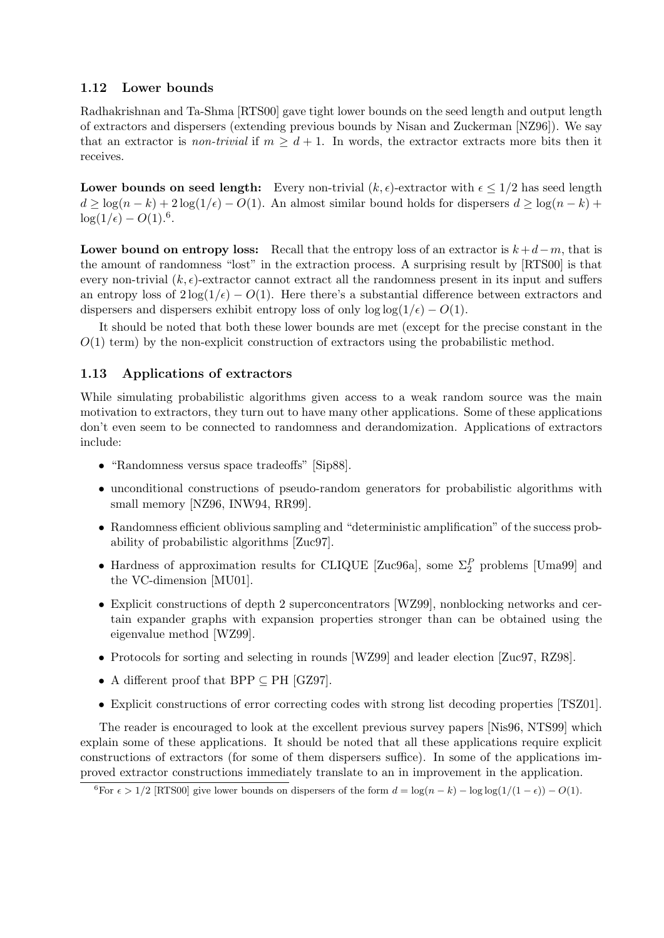# 1.12 Lower bounds

Radhakrishnan and Ta-Shma [RTS00] gave tight lower bounds on the seed length and output length of extractors and dispersers (extending previous bounds by Nisan and Zuckerman [NZ96]). We say that an extractor is non-trivial if  $m > d + 1$ . In words, the extractor extracts more bits then it receives.

Lower bounds on seed length: Every non-trivial  $(k, \epsilon)$ -extractor with  $\epsilon \leq 1/2$  has seed length  $d \geq \log(n-k) + 2\log(1/\epsilon) - O(1)$ . An almost similar bound holds for dispersers  $d \geq \log(n-k)$  +  $log(1/\epsilon) - O(1).^{6}$ .

Lower bound on entropy loss: Recall that the entropy loss of an extractor is  $k+d-m$ , that is the amount of randomness "lost" in the extraction process. A surprising result by [RTS00] is that every non-trivial  $(k, \epsilon)$ -extractor cannot extract all the randomness present in its input and suffers an entropy loss of  $2\log(1/\epsilon) - O(1)$ . Here there's a substantial difference between extractors and dispersers and dispersers exhibit entropy loss of only  $\log \log(1/\epsilon) - O(1)$ .

It should be noted that both these lower bounds are met (except for the precise constant in the  $O(1)$  term) by the non-explicit construction of extractors using the probabilistic method.

# 1.13 Applications of extractors

While simulating probabilistic algorithms given access to a weak random source was the main motivation to extractors, they turn out to have many other applications. Some of these applications don't even seem to be connected to randomness and derandomization. Applications of extractors include:

- "Randomness versus space tradeoffs" [Sip88].
- unconditional constructions of pseudo-random generators for probabilistic algorithms with small memory [NZ96, INW94, RR99].
- Randomness efficient oblivious sampling and "deterministic amplification" of the success probability of probabilistic algorithms [Zuc97].
- Hardness of approximation results for CLIQUE [Zuc96a], some  $\Sigma_2^P$  problems [Uma99] and the VC-dimension [MU01].
- Explicit constructions of depth 2 superconcentrators [WZ99], nonblocking networks and certain expander graphs with expansion properties stronger than can be obtained using the eigenvalue method [WZ99].
- Protocols for sorting and selecting in rounds [WZ99] and leader election [Zuc97, RZ98].
- A different proof that BPP  $\subseteq$  PH [GZ97].
- Explicit constructions of error correcting codes with strong list decoding properties [TSZ01].

The reader is encouraged to look at the excellent previous survey papers [Nis96, NTS99] which explain some of these applications. It should be noted that all these applications require explicit constructions of extractors (for some of them dispersers suffice). In some of the applications improved extractor constructions immediately translate to an in improvement in the application.

 $^{6}$ For  $\epsilon > 1/2$  [RTS00] give lower bounds on dispersers of the form  $d = \log(n - k) - \log \log(1/(1 - \epsilon)) - O(1)$ .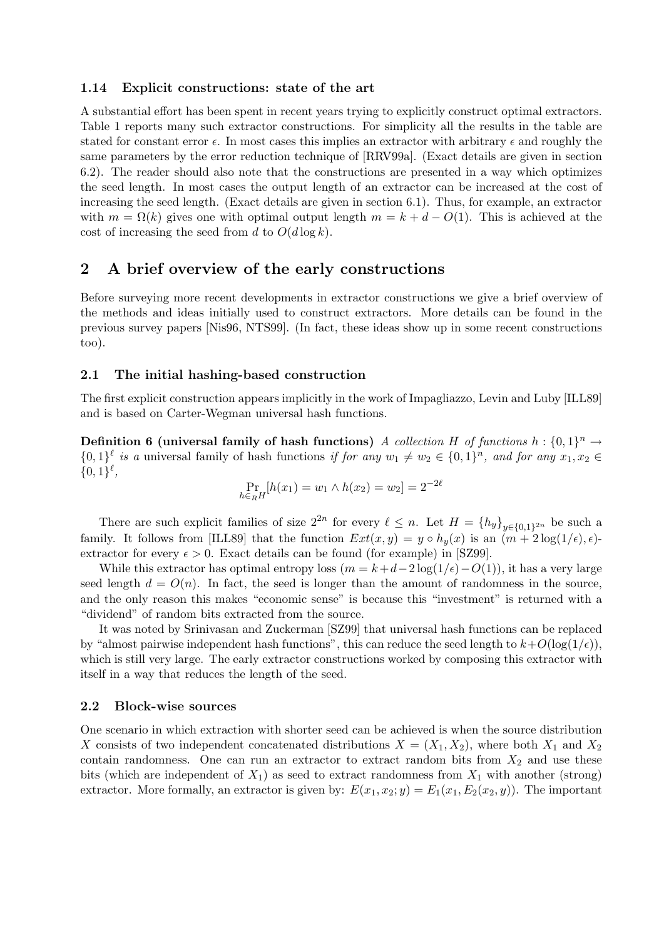#### 1.14 Explicit constructions: state of the art

A substantial effort has been spent in recent years trying to explicitly construct optimal extractors. Table 1 reports many such extractor constructions. For simplicity all the results in the table are stated for constant error  $\epsilon$ . In most cases this implies an extractor with arbitrary  $\epsilon$  and roughly the same parameters by the error reduction technique of [RRV99a]. (Exact details are given in section 6.2). The reader should also note that the constructions are presented in a way which optimizes the seed length. In most cases the output length of an extractor can be increased at the cost of increasing the seed length. (Exact details are given in section 6.1). Thus, for example, an extractor with  $m = \Omega(k)$  gives one with optimal output length  $m = k + d - O(1)$ . This is achieved at the cost of increasing the seed from d to  $O(d \log k)$ .

# 2 A brief overview of the early constructions

Before surveying more recent developments in extractor constructions we give a brief overview of the methods and ideas initially used to construct extractors. More details can be found in the previous survey papers [Nis96, NTS99]. (In fact, these ideas show up in some recent constructions too).

## 2.1 The initial hashing-based construction

The first explicit construction appears implicitly in the work of Impagliazzo, Levin and Luby [ILL89] and is based on Carter-Wegman universal hash functions.

**Definition 6 (universal family of hash functions)** A collection H of functions  $h: \{0,1\}^n \to$  $\{0,1\}^{\ell}$  is a universal family of hash functions if for any  $w_1 \neq w_2 \in \{0,1\}^n$ , and for any  $x_1, x_2 \in$  $\{0,1\}^{\ell}$ ,

$$
\Pr_{h \in_R H}[h(x_1) = w_1 \land h(x_2) = w_2] = 2^{-2\ell}
$$

There are such explicit families of size  $2^{2n}$  for every  $\ell \leq n$ . Let  $H = \{h_y\}_{y \in \{0,1\}^{2n}}$  be such a family. It follows from [ILL89] that the function  $Ext(x, y) = y \circ h_y(x)$  is an  $(m + 2 \log(1/\epsilon), \epsilon)$ extractor for every  $\epsilon > 0$ . Exact details can be found (for example) in [SZ99].

While this extractor has optimal entropy loss  $(m = k + d - 2 \log(1/\epsilon) - O(1))$ , it has a very large seed length  $d = O(n)$ . In fact, the seed is longer than the amount of randomness in the source, and the only reason this makes "economic sense" is because this "investment" is returned with a "dividend" of random bits extracted from the source.

It was noted by Srinivasan and Zuckerman [SZ99] that universal hash functions can be replaced by "almost pairwise independent hash functions", this can reduce the seed length to  $k+O(\log(1/\epsilon))$ , which is still very large. The early extractor constructions worked by composing this extractor with itself in a way that reduces the length of the seed.

#### 2.2 Block-wise sources

One scenario in which extraction with shorter seed can be achieved is when the source distribution X consists of two independent concatenated distributions  $X = (X_1, X_2)$ , where both  $X_1$  and  $X_2$ contain randomness. One can run an extractor to extract random bits from  $X_2$  and use these bits (which are independent of  $X_1$ ) as seed to extract randomness from  $X_1$  with another (strong) extractor. More formally, an extractor is given by:  $E(x_1, x_2; y) = E_1(x_1, E_2(x_2, y))$ . The important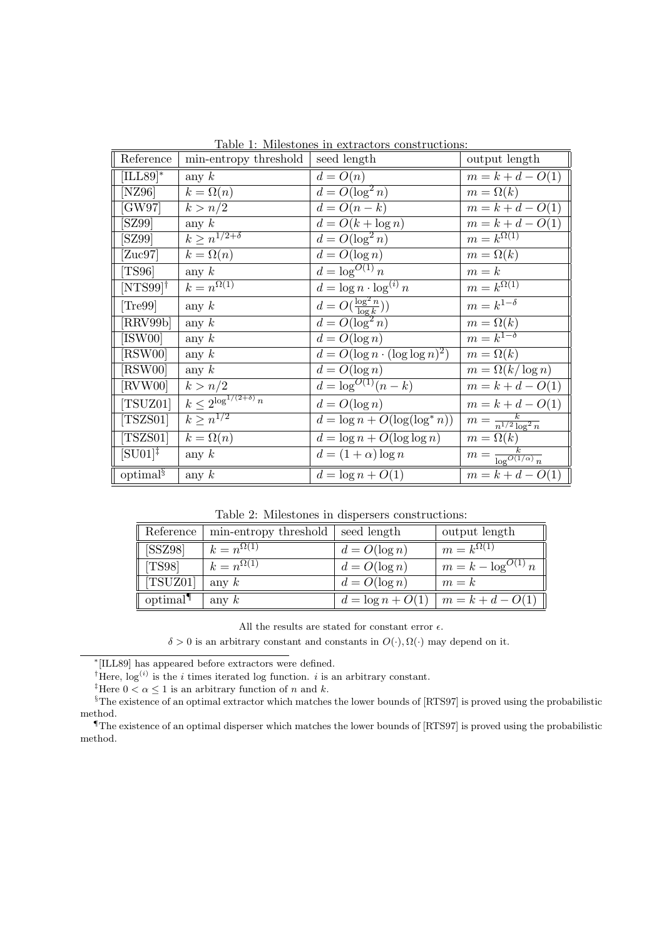| Reference                       | min-entropy threshold             | seed length                           | output length                        |
|---------------------------------|-----------------------------------|---------------------------------------|--------------------------------------|
| $ [ILL89]^*$                    | any $k$                           | $d = O(n)$                            | $m = k + d - O(1)$                   |
| [NZ96]                          | $k=\Omega(n)$                     | $d = O(\log^2 n)$                     | $m = \Omega(k)$                      |
| [GW97]                          | k > n/2                           | $d = O(n-k)$                          | $m = k + d - O(1)$                   |
| [SZ99]                          | any $k$                           | $d = O(k + \log n)$                   | $m = k + d - O(1)$                   |
| [SZ99]                          | $k \geq n^{1/2+\delta}$           | $d = O(\log^2 n)$                     | $m=k^{\Omega(1)}$                    |
| [Zuc97]                         | $k=\Omega(n)$                     | $d = O(\log n)$                       | $m = \Omega(k)$                      |
| $\parallel$ [TS96]              | any $k$                           | $d=\log^{O(1)} n$                     | $m = k$                              |
| $[NTS99]$ <sup>†</sup>          | $k=n^{\Omega(1)}$                 | $d = \log n \cdot \log^{(i)} n$       | $m=k^{\Omega(1)}$                    |
| [Tree99]                        | any $k$                           | $d = O(\frac{\log^2 n}{\log k}))$     | $m = k^{1-\delta}$                   |
| [RRV99b]                        | any $k$                           | $d = O(\log^2 n)$                     | $m = \Omega(k)$                      |
| [ISW00]                         | any $k$                           | $d = O(\log n)$                       | $m = k^{1-\delta}$                   |
| [RSW00]                         | any $k$                           | $d = O(\log n \cdot (\log \log n)^2)$ | $m = \Omega(k)$                      |
| $\parallel$ [RSW00]             | any $k$                           | $d = O(\log n)$                       | $m = \Omega(k/\log n)$               |
| $\parallel$ [RVW00]             | k > n/2                           | $d = \log^{O(1)}(n - k)$              | $m = k + d - O(1)$                   |
| $\parallel$ [TSUZ01]            | $k\leq 2^{\log^{1/(2+\delta)} n}$ | $d = O(\log n)$                       | $m = k + d - O(1)$                   |
| $\parallel$ [TSZS01]            | $k > n^{1/2}$                     | $d = \log n + O(\log(\log^* n))$      | $m = \frac{k}{n^{1/2} \log^2 n}$     |
| $\vert$ [TSZS01]                | $k=\Omega(n)$                     | $d = \log n + O(\log \log n)$         | $m = \Omega(k)$                      |
| $\parallel$ [SU01] <sup>‡</sup> | any $k$                           | $d = (1 + \alpha) \log n$             | $m = \frac{k}{\log^{O(1/\alpha)} n}$ |
| optimal <sup>§</sup>            | any $k$                           | $d = \log n + O(1)$                   | $m = k + d - O(1)$                   |

Table 1: Milestones in extractors constructions:

Table 2: Milestones in dispersers constructions:

| Reference            | min-entropy threshold | seed length         | output length           |
|----------------------|-----------------------|---------------------|-------------------------|
| $\vert$ [SSZ98]      | $k=n^{\Omega(1)}$     | $d = O(\log n)$     | $m=k^{\Omega(1)}$       |
| [TSS8]               | $k = n^{\Omega(1)}$   | $d = O(\log n)$     | $m = k - \log^{O(1)} n$ |
| $\parallel$ [TSUZ01] | any $k$               | $d = O(\log n)$     | $m = k$                 |
| optimal <sup>¶</sup> | any $k$               | $d = \log n + O(1)$ | $m = k + d - O(1)$      |

All the results are stated for constant error  $\epsilon.$ 

 $\delta > 0$  is an arbitrary constant and constants in  $O(·), \Omega(·)$  may depend on it.

∗ [ILL89] has appeared before extractors were defined.

<sup>†</sup>Here,  $\log^{(i)}$  is the *i* times iterated log function. *i* is an arbitrary constant.

<sup>‡</sup>Here  $0 < \alpha \leq 1$  is an arbitrary function of n and k.

<sup>§</sup>The existence of an optimal extractor which matches the lower bounds of [RTS97] is proved using the probabilistic method.

¶The existence of an optimal disperser which matches the lower bounds of [RTS97] is proved using the probabilistic method.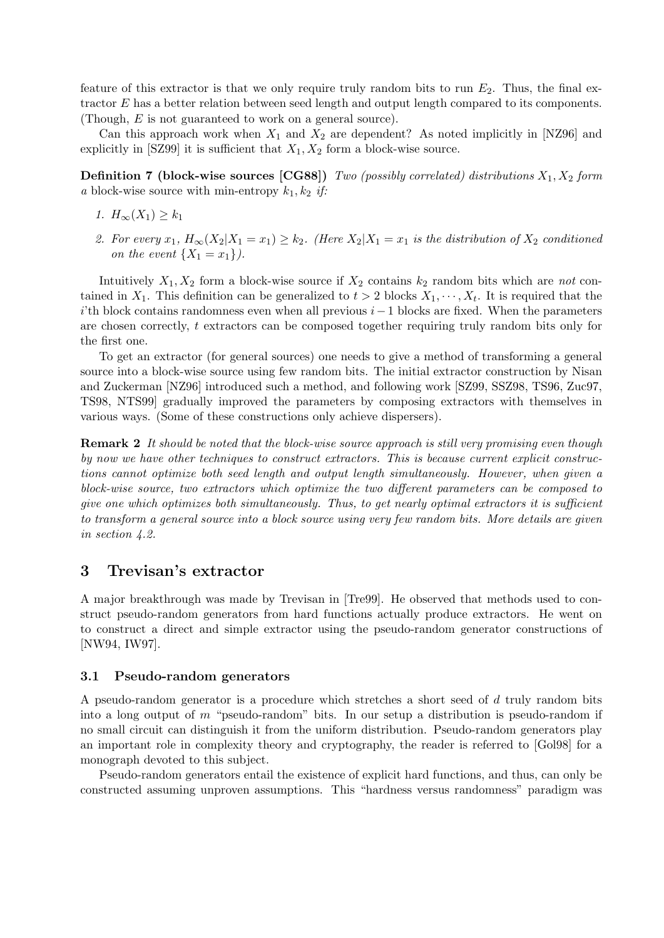feature of this extractor is that we only require truly random bits to run  $E_2$ . Thus, the final extractor E has a better relation between seed length and output length compared to its components. (Though, E is not guaranteed to work on a general source).

Can this approach work when  $X_1$  and  $X_2$  are dependent? As noted implicitly in [NZ96] and explicitly in [SZ99] it is sufficient that  $X_1, X_2$  form a block-wise source.

**Definition 7 (block-wise sources [CG88])** Two (possibly correlated) distributions  $X_1, X_2$  form a block-wise source with min-entropy  $k_1, k_2$  if:

- 1.  $H_{\infty}(X_1) \geq k_1$
- 2. For every  $x_1, H_{\infty}(X_2|X_1=x_1) \geq k_2$ . (Here  $X_2|X_1=x_1$  is the distribution of  $X_2$  conditioned on the event  $\{X_1 = x_1\}$ .

Intuitively  $X_1, X_2$  form a block-wise source if  $X_2$  contains  $k_2$  random bits which are not contained in  $X_1$ . This definition can be generalized to  $t > 2$  blocks  $X_1, \dots, X_t$ . It is required that the i'th block contains randomness even when all previous  $i-1$  blocks are fixed. When the parameters are chosen correctly,  $t$  extractors can be composed together requiring truly random bits only for the first one.

To get an extractor (for general sources) one needs to give a method of transforming a general source into a block-wise source using few random bits. The initial extractor construction by Nisan and Zuckerman [NZ96] introduced such a method, and following work [SZ99, SSZ98, TS96, Zuc97, TS98, NTS99] gradually improved the parameters by composing extractors with themselves in various ways. (Some of these constructions only achieve dispersers).

**Remark 2** It should be noted that the block-wise source approach is still very promising even though by now we have other techniques to construct extractors. This is because current explicit constructions cannot optimize both seed length and output length simultaneously. However, when given a block-wise source, two extractors which optimize the two different parameters can be composed to give one which optimizes both simultaneously. Thus, to get nearly optimal extractors it is sufficient to transform a general source into a block source using very few random bits. More details are given in section 4.2.

# 3 Trevisan's extractor

A major breakthrough was made by Trevisan in [Tre99]. He observed that methods used to construct pseudo-random generators from hard functions actually produce extractors. He went on to construct a direct and simple extractor using the pseudo-random generator constructions of [NW94, IW97].

#### 3.1 Pseudo-random generators

A pseudo-random generator is a procedure which stretches a short seed of d truly random bits into a long output of m "pseudo-random" bits. In our setup a distribution is pseudo-random if no small circuit can distinguish it from the uniform distribution. Pseudo-random generators play an important role in complexity theory and cryptography, the reader is referred to [Gol98] for a monograph devoted to this subject.

Pseudo-random generators entail the existence of explicit hard functions, and thus, can only be constructed assuming unproven assumptions. This "hardness versus randomness" paradigm was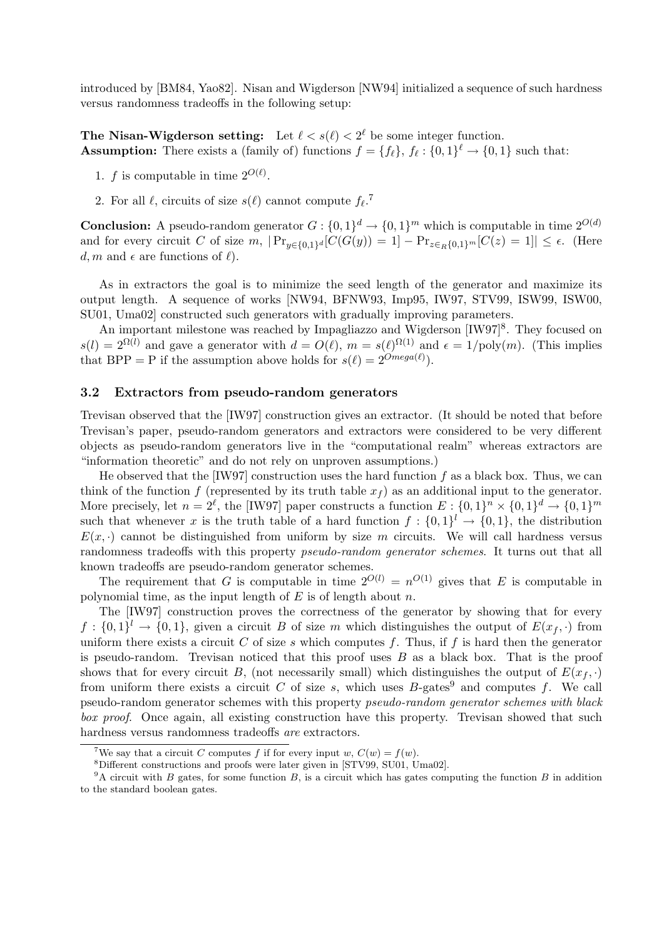introduced by [BM84, Yao82]. Nisan and Wigderson [NW94] initialized a sequence of such hardness versus randomness tradeoffs in the following setup:

The Nisan-Wigderson setting: Let  $\ell < s(\ell) < 2^{\ell}$  be some integer function. **Assumption:** There exists a (family of) functions  $f = \{f_\ell\}$ ,  $f_\ell : \{0, 1\}^\ell \to \{0, 1\}$  such that:

- 1. f is computable in time  $2^{O(\ell)}$ .
- 2. For all  $\ell$ , circuits of size  $s(\ell)$  cannot compute  $f_{\ell}$ .<sup>7</sup>

**Conclusion:** A pseudo-random generator  $G: \{0,1\}^d \to \{0,1\}^m$  which is computable in time  $2^{O(d)}$ and for every circuit C of size  $m$ ,  $|\Pr_{y \in \{0,1\}^d}[\hat{C}(G(y))] = 1] - \Pr_{z \in_R\{0,1\}^m}[C(z) = 1]| \leq \epsilon$ . (Here d, m and  $\epsilon$  are functions of  $\ell$ .

As in extractors the goal is to minimize the seed length of the generator and maximize its output length. A sequence of works [NW94, BFNW93, Imp95, IW97, STV99, ISW99, ISW00, SU01, Uma02] constructed such generators with gradually improving parameters.

An important milestone was reached by Impagliazzo and Wigderson [IW97]<sup>8</sup>. They focused on  $s(l) = 2^{\Omega(l)}$  and gave a generator with  $d = O(l)$ ,  $m = s(l)^{\Omega(1)}$  and  $\epsilon = 1/\text{poly}(m)$ . (This implies that BPP = P if the assumption above holds for  $s(\ell) = 2^{Omega(\ell)}$ .

#### 3.2 Extractors from pseudo-random generators

Trevisan observed that the [IW97] construction gives an extractor. (It should be noted that before Trevisan's paper, pseudo-random generators and extractors were considered to be very different objects as pseudo-random generators live in the "computational realm" whereas extractors are "information theoretic" and do not rely on unproven assumptions.)

He observed that the  $[IW97]$  construction uses the hard function f as a black box. Thus, we can think of the function f (represented by its truth table  $x_f$ ) as an additional input to the generator. More precisely, let  $n = 2^{\ell}$ , the [IW97] paper constructs a function  $E: \{0,1\}^n \times \{0,1\}^d \to \{0,1\}^m$ such that whenever x is the truth table of a hard function  $f: \{0,1\}^l \to \{0,1\}$ , the distribution  $E(x, \cdot)$  cannot be distinguished from uniform by size m circuits. We will call hardness versus randomness tradeoffs with this property *pseudo-random generator schemes*. It turns out that all known tradeoffs are pseudo-random generator schemes.

The requirement that G is computable in time  $2^{O(l)} = n^{O(1)}$  gives that E is computable in polynomial time, as the input length of  $E$  is of length about  $n$ .

The [IW97] construction proves the correctness of the generator by showing that for every  $f: \{0,1\}^l \to \{0,1\}$ , given a circuit B of size m which distinguishes the output of  $E(x_f, \cdot)$  from uniform there exists a circuit C of size s which computes f. Thus, if f is hard then the generator is pseudo-random. Trevisan noticed that this proof uses  $B$  as a black box. That is the proof shows that for every circuit B, (not necessarily small) which distinguishes the output of  $E(x_f, \cdot)$ from uniform there exists a circuit C of size s, which uses  $B$ -gates<sup>9</sup> and computes f. We call pseudo-random generator schemes with this property pseudo-random generator schemes with black box proof. Once again, all existing construction have this property. Trevisan showed that such hardness versus randomness tradeoffs are extractors.

<sup>&</sup>lt;sup>7</sup>We say that a circuit C computes f if for every input w,  $C(w) = f(w)$ .

<sup>8</sup>Different constructions and proofs were later given in [STV99, SU01, Uma02].

 $9A$  circuit with B gates, for some function B, is a circuit which has gates computing the function B in addition to the standard boolean gates.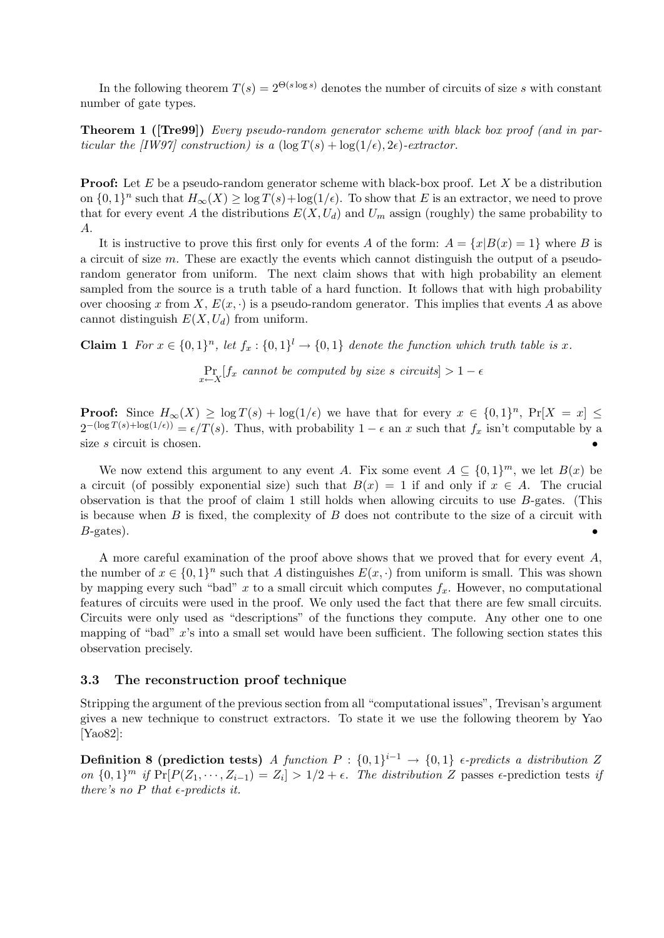In the following theorem  $T(s) = 2^{\Theta(s \log s)}$  denotes the number of circuits of size s with constant number of gate types.

Theorem 1 ([Tre99]) Every pseudo-random generator scheme with black box proof (and in particular the [IW97] construction) is a  $(\log T(s) + \log(1/\epsilon), 2\epsilon)$ -extractor.

**Proof:** Let E be a pseudo-random generator scheme with black-box proof. Let X be a distribution on  $\{0,1\}^n$  such that  $H_\infty(X) \ge \log T(s) + \log(1/\epsilon)$ . To show that E is an extractor, we need to prove that for every event A the distributions  $E(X, U_d)$  and  $U_m$  assign (roughly) the same probability to A.

It is instructive to prove this first only for events A of the form:  $A = \{x|B(x) = 1\}$  where B is a circuit of size m. These are exactly the events which cannot distinguish the output of a pseudorandom generator from uniform. The next claim shows that with high probability an element sampled from the source is a truth table of a hard function. It follows that with high probability over choosing x from X,  $E(x, \cdot)$  is a pseudo-random generator. This implies that events A as above cannot distinguish  $E(X, U_d)$  from uniform.

**Claim 1** For  $x \in \{0,1\}^n$ , let  $f_x: \{0,1\}^l \to \{0,1\}$  denote the function which truth table is x.

 $\Pr_{x \leftarrow X}[f_x$  cannot be computed by size s circuits] > 1 –  $\epsilon$ 

**Proof:** Since  $H_{\infty}(X) \geq \log T(s) + \log(1/\epsilon)$  we have that for every  $x \in \{0,1\}^n$ ,  $\Pr[X = x] \leq$  $2^{-(\log T(s) + \log(1/\epsilon))} = \epsilon/T(s)$ . Thus, with probability  $1 - \epsilon$  an x such that  $f_x$  isn't computable by a size s circuit is chosen.

We now extend this argument to any event A. Fix some event  $A \subseteq \{0,1\}^m$ , we let  $B(x)$  be a circuit (of possibly exponential size) such that  $B(x) = 1$  if and only if  $x \in A$ . The crucial observation is that the proof of claim 1 still holds when allowing circuits to use  $B$ -gates. (This is because when  $B$  is fixed, the complexity of  $B$  does not contribute to the size of a circuit with  $B$ -gates).

A more careful examination of the proof above shows that we proved that for every event A, the number of  $x \in \{0,1\}^n$  such that A distinguishes  $E(x, \cdot)$  from uniform is small. This was shown by mapping every such "bad" x to a small circuit which computes  $f_x$ . However, no computational features of circuits were used in the proof. We only used the fact that there are few small circuits. Circuits were only used as "descriptions" of the functions they compute. Any other one to one mapping of "bad" x's into a small set would have been sufficient. The following section states this observation precisely.

## 3.3 The reconstruction proof technique

Stripping the argument of the previous section from all "computational issues", Trevisan's argument gives a new technique to construct extractors. To state it we use the following theorem by Yao [Yao82]:

Definition 8 (prediction tests) A function  $P: \{0,1\}^{i-1} \to \{0,1\}$  e-predicts a distribution Z on  $\{0,1\}^m$  if  $\Pr[P(Z_1, \dots, Z_{i-1})] = Z_i] > 1/2 + \epsilon$ . The distribution Z passes  $\epsilon$ -prediction tests if there's no  $P$  that  $\epsilon$ -predicts it.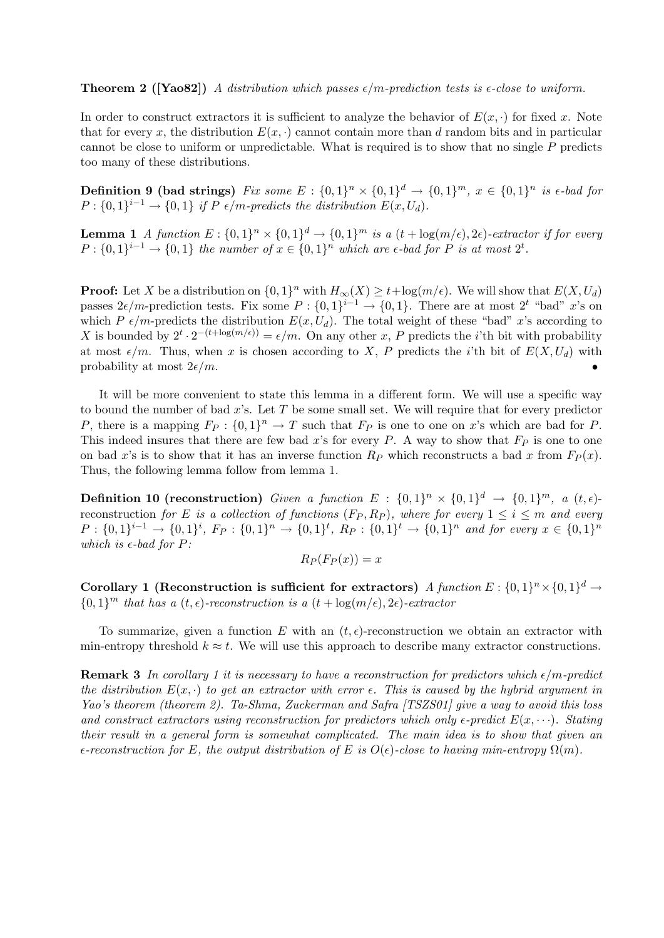**Theorem 2** ([Yao82]) A distribution which passes  $\epsilon/m$ -prediction tests is  $\epsilon$ -close to uniform.

In order to construct extractors it is sufficient to analyze the behavior of  $E(x, \cdot)$  for fixed x. Note that for every x, the distribution  $E(x, \cdot)$  cannot contain more than d random bits and in particular cannot be close to uniform or unpredictable. What is required is to show that no single P predicts too many of these distributions.

**Definition 9 (bad strings)** Fix some  $E: \{0,1\}^n \times \{0,1\}^d \rightarrow \{0,1\}^m$ ,  $x \in \{0,1\}^n$  is  $\epsilon$ -bad for  $P: \{0,1\} \rightarrow \{0,1\}$  if P  $\epsilon/m$ -predicts the distribution  $E(x, U_d)$ .

**Lemma 1** A function  $E: \{0,1\}^n \times \{0,1\}^d \to \{0,1\}^m$  is a  $(t + \log(m/\epsilon), 2\epsilon)$ -extractor if for every  $P: \{0,1\}^{i-1} \to \{0,1\}$  the number of  $x \in \{0,1\}^n$  which are e-bad for P is at most  $2^t$ .

**Proof:** Let X be a distribution on  $\{0,1\}^n$  with  $H_\infty(X) \ge t + \log(m/\epsilon)$ . We will show that  $E(X, U_d)$ passes  $2\epsilon/m$ -prediction tests. Fix some  $P: \{0,1\}^{i-1} \to \{0,1\}$ . There are at most  $2^t$  "bad" x's on which P  $\epsilon/m$ -predicts the distribution  $E(x, U_d)$ . The total weight of these "bad" x's according to X is bounded by  $2^t \cdot 2^{-(t+\log(m/\epsilon))} = \epsilon/m$ . On any other x, P predicts the *i*'th bit with probability at most  $\epsilon/m$ . Thus, when x is chosen according to X, P predicts the *i*'th bit of  $E(X, U_d)$  with probability at most  $2\epsilon/m$ .

It will be more convenient to state this lemma in a different form. We will use a specific way to bound the number of bad  $x$ 's. Let  $T$  be some small set. We will require that for every predictor P, there is a mapping  $F_P: \{0,1\}^n \to T$  such that  $F_P$  is one to one on x's which are bad for P. This indeed insures that there are few bad x's for every P. A way to show that  $F_P$  is one to one on bad x's is to show that it has an inverse function  $R_P$  which reconstructs a bad x from  $F_P(x)$ . Thus, the following lemma follow from lemma 1.

**Definition 10 (reconstruction)** Given a function  $E : \{0,1\}^n \times \{0,1\}^d \rightarrow \{0,1\}^m$ , a  $(t,\epsilon)$ reconstruction for E is a collection of functions  $(F_P, R_P)$ , where for every  $1 \leq i \leq m$  and every  $P: \{0,1\}^{i-1} \to \{0,1\}^i$ ,  $F_P: \{0,1\}^n \to \{0,1\}^t$ ,  $R_P: \{0,1\}^t \to \{0,1\}^n$  and for every  $x \in \{0,1\}^n$ which is  $\epsilon$ -bad for P:

$$
R_P(F_P(x)) = x
$$

Corollary 1 (Reconstruction is sufficient for extractors) A function  $E: \{0,1\}^n \times \{0,1\}^d \rightarrow$  $\{0,1\}^m$  that has a  $(t, \epsilon)$ -reconstruction is a  $(t + \log(m/\epsilon), 2\epsilon)$ -extractor

To summarize, given a function E with an  $(t, \epsilon)$ -reconstruction we obtain an extractor with min-entropy threshold  $k \approx t$ . We will use this approach to describe many extractor constructions.

**Remark 3** In corollary 1 it is necessary to have a reconstruction for predictors which  $\epsilon/m$ -predict the distribution  $E(x, \cdot)$  to get an extractor with error  $\epsilon$ . This is caused by the hybrid argument in Yao's theorem (theorem 2). Ta-Shma, Zuckerman and Safra [TSZS01] give a way to avoid this loss and construct extractors using reconstruction for predictors which only  $\epsilon$ -predict  $E(x, \dots)$ . Stating their result in a general form is somewhat complicated. The main idea is to show that given an  $\epsilon$ -reconstruction for E, the output distribution of E is  $O(\epsilon)$ -close to having min-entropy  $\Omega(m)$ .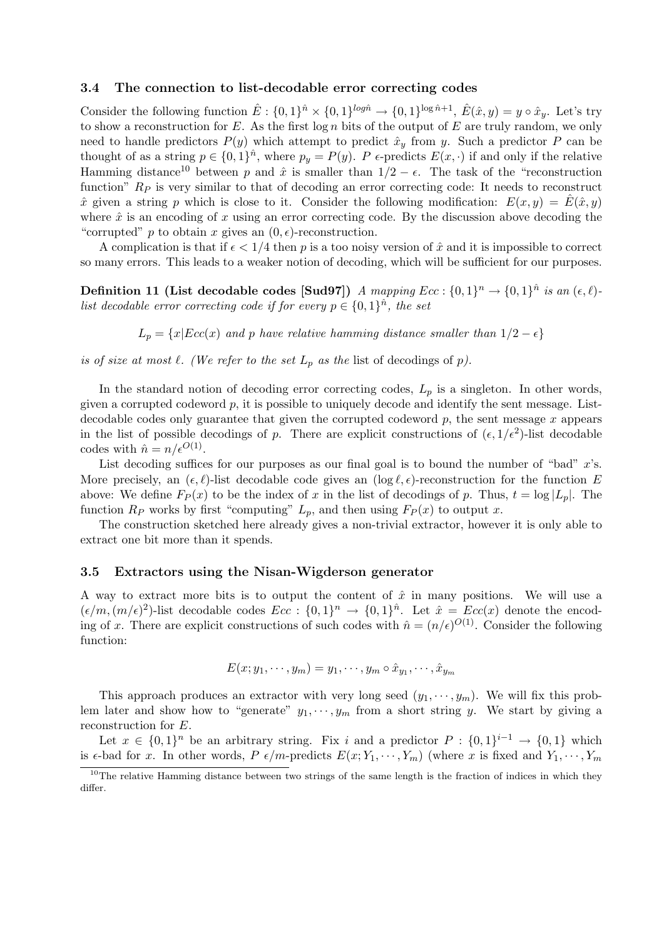#### 3.4 The connection to list-decodable error correcting codes

Consider the following function  $\hat{E}: \{0,1\}^{\hat{n}} \times \{0,1\}^{\log \hat{n}} \to \{0,1\}^{\log \hat{n}+1}, \ \hat{E}(\hat{x},y) = y \circ \hat{x}_y.$  Let's try to show a reconstruction for  $E$ . As the first  $\log n$  bits of the output of  $E$  are truly random, we only need to handle predictors  $P(y)$  which attempt to predict  $\hat{x}_y$  from y. Such a predictor P can be thought of as a string  $p \in \{0,1\}^{\hat{n}}$ , where  $p_y = P(y)$ . P  $\epsilon$ -predicts  $E(x, \cdot)$  if and only if the relative Hamming distance<sup>10</sup> between p and  $\hat{x}$  is smaller than  $1/2 - \epsilon$ . The task of the "reconstruction" function"  $R_p$  is very similar to that of decoding an error correcting code: It needs to reconstruct  $\hat{x}$  given a string p which is close to it. Consider the following modification:  $E(x, y) = \hat{E}(\hat{x}, y)$ where  $\hat{x}$  is an encoding of x using an error correcting code. By the discussion above decoding the "corrupted" p to obtain x gives an  $(0, \epsilon)$ -reconstruction.

A complication is that if  $\epsilon < 1/4$  then p is a too noisy version of  $\hat{x}$  and it is impossible to correct so many errors. This leads to a weaker notion of decoding, which will be sufficient for our purposes.

**Definition 11 (List decodable codes [Sud97])** A mapping  $Ecc: \{0,1\}^n \rightarrow \{0,1\}^{\hat{n}}$  is an  $(\epsilon, \ell)$ list decodable error correcting code if for every  $p \in \{0,1\}^{\hat{n}}$ , the set

 $L_p = \{x|Ecc(x)$  and p have relative hamming distance smaller than  $1/2 - \epsilon\}$ 

is of size at most  $\ell$ . (We refer to the set  $L_p$  as the list of decodings of p).

In the standard notion of decoding error correcting codes,  $L_p$  is a singleton. In other words, given a corrupted codeword  $p$ , it is possible to uniquely decode and identify the sent message. Listdecodable codes only guarantee that given the corrupted codeword  $p$ , the sent message  $x$  appears in the list of possible decodings of p. There are explicit constructions of  $(\epsilon, 1/\epsilon^2)$ -list decodable codes with  $\hat{n} = n/\epsilon^{O(1)}$ .

List decoding suffices for our purposes as our final goal is to bound the number of "bad"  $x$ 's. More precisely, an  $(\epsilon, \ell)$ -list decodable code gives an  $(\log \ell, \epsilon)$ -reconstruction for the function E above: We define  $F_P(x)$  to be the index of x in the list of decodings of p. Thus,  $t = \log |L_p|$ . The function  $R_P$  works by first "computing"  $L_p$ , and then using  $F_P(x)$  to output x.

The construction sketched here already gives a non-trivial extractor, however it is only able to extract one bit more than it spends.

#### 3.5 Extractors using the Nisan-Wigderson generator

A way to extract more bits is to output the content of  $\hat{x}$  in many positions. We will use a  $(\epsilon/m,(m/\epsilon)^2)$ -list decodable codes  $Ecc: \{0,1\}^n \to \{0,1\}^{\hat{n}}$ . Let  $\hat{x} = Ecc(x)$  denote the encoding of x. There are explicit constructions of such codes with  $\hat{n} = (n/\epsilon)^{O(1)}$ . Consider the following function:

$$
E(x; y_1, \dots, y_m) = y_1, \dots, y_m \circ \hat{x}_{y_1}, \dots, \hat{x}_{y_m}
$$

This approach produces an extractor with very long seed  $(y_1, \dots, y_m)$ . We will fix this problem later and show how to "generate"  $y_1, \dots, y_m$  from a short string y. We start by giving a reconstruction for E.

Let  $x \in \{0,1\}^n$  be an arbitrary string. Fix i and a predictor  $P: \{0,1\}^{i-1} \to \{0,1\}$  which is  $\epsilon$ -bad for x. In other words, P  $\epsilon/m$ -predicts  $E(x; Y_1, \dots, Y_m)$  (where x is fixed and  $Y_1, \dots, Y_m$ )

<sup>&</sup>lt;sup>10</sup>The relative Hamming distance between two strings of the same length is the fraction of indices in which they differ.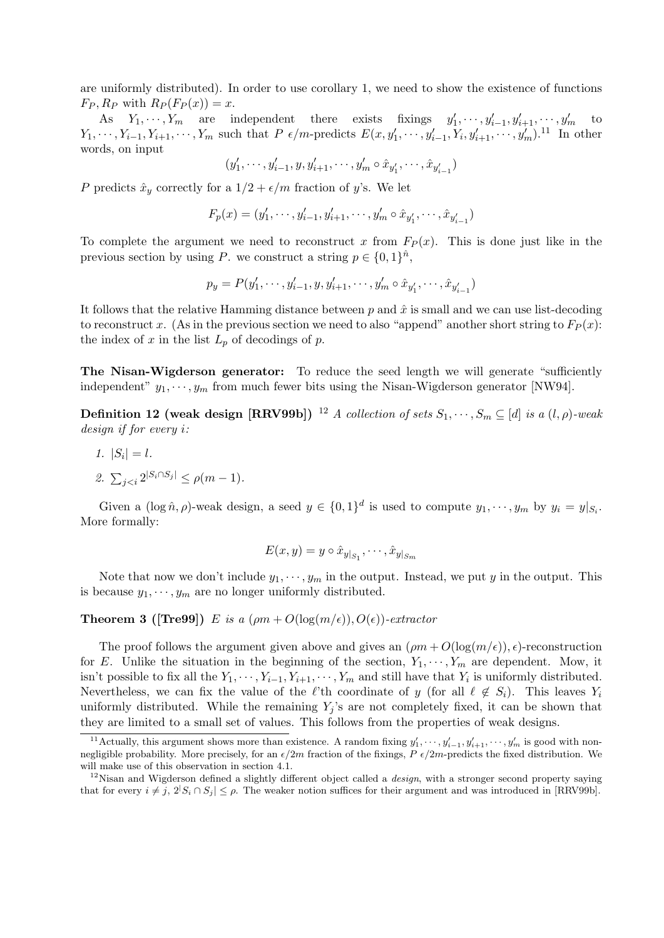are uniformly distributed). In order to use corollary 1, we need to show the existence of functions  $F_P$ ,  $R_P$  with  $R_P(F_P(x)) = x$ .

As  $Y_1, \dots, Y_m$  are independent there exists fixings  $y'_1$  $y'_1, \dots, y'_{i-1}, y'_{i+1}, \dots, y'_m$  to  $Y_1, \dots, Y_{i-1}, Y_{i+1}, \dots, Y_m$  such that  $P \epsilon/m$ -predicts  $E(x, y'_1, \dots, y'_{i-1}, Y_i, y'_{i+1}, \dots, y'_m)$ .<sup>11</sup> In other words, on input

$$
(y'_1,\cdots,y'_{i-1},y,y'_{i+1},\cdots,y'_m\circ \hat{x}_{y'_1},\cdots,\hat{x}_{y'_{i-1}})
$$

P predicts  $\hat{x}_y$  correctly for a  $1/2 + \epsilon/m$  fraction of y's. We let

$$
F_p(x)=(y_1',\cdots,y_{i-1}',y_{i+1}',\cdots,y_m'\circ\hat{x}_{y_1'},\cdots,\hat{x}_{y_{i-1}'})
$$

To complete the argument we need to reconstruct x from  $F_P(x)$ . This is done just like in the previous section by using P. we construct a string  $p \in \{0,1\}^{\hat{n}}$ ,

$$
p_y = P(y'_1, \dots, y'_{i-1}, y, y'_{i+1}, \dots, y'_m \circ \hat{x}_{y'_1}, \dots, \hat{x}_{y'_{i-1}})
$$

It follows that the relative Hamming distance between p and  $\hat{x}$  is small and we can use list-decoding to reconstruct x. (As in the previous section we need to also "append" another short string to  $F_P(x)$ : the index of x in the list  $L_p$  of decodings of p.

The Nisan-Wigderson generator: To reduce the seed length we will generate "sufficiently independent"  $y_1, \dots, y_m$  from much fewer bits using the Nisan-Wigderson generator [NW94].

**Definition 12 (weak design [RRV99b])** <sup>12</sup> A collection of sets  $S_1, \dots, S_m \subseteq [d]$  is a  $(l, \rho)$ -weak design if for every i:

- 1.  $|S_i| = l$ .
- 2.  $\sum_{j < i} 2^{|S_i \cap S_j|} \le \rho(m-1)$ .

Given a  $(\log \hat{n}, \rho)$ -weak design, a seed  $y \in \{0, 1\}^d$  is used to compute  $y_1, \dots, y_m$  by  $y_i = y|_{S_i}$ . More formally:

$$
E(x,y) = y \circ \hat{x}_{y|_{S_1}}, \cdots, \hat{x}_{y|_{S_m}}
$$

Note that now we don't include  $y_1, \dots, y_m$  in the output. Instead, we put y in the output. This is because  $y_1, \dots, y_m$  are no longer uniformly distributed.

**Theorem 3 ([Tre99])** E is a  $(\rho m + O(\log(m/\epsilon)), O(\epsilon))$ -extractor

The proof follows the argument given above and gives an  $(\rho m + O(\log(m/\epsilon)), \epsilon)$ -reconstruction for E. Unlike the situation in the beginning of the section,  $Y_1, \dots, Y_m$  are dependent. Mow, it isn't possible to fix all the  $Y_1, \dots, Y_{i-1}, Y_{i+1}, \dots, Y_m$  and still have that  $Y_i$  is uniformly distributed. Nevertheless, we can fix the value of the  $\ell$ 'th coordinate of y (for all  $\ell \notin S_i$ ). This leaves  $Y_i$ uniformly distributed. While the remaining  $Y_i$ 's are not completely fixed, it can be shown that they are limited to a small set of values. This follows from the properties of weak designs.

<sup>&</sup>lt;sup>11</sup> Actually, this argument shows more than existence. A random fixing  $y'_1, \dots, y'_{i-1}, y'_{i+1}, \dots, y'_m$  is good with nonnegligible probability. More precisely, for an  $\epsilon/2m$  fraction of the fixings,  $P \epsilon/2m$ -predicts the fixed distribution. We will make use of this observation in section 4.1.

 $12$ Nisan and Wigderson defined a slightly different object called a *design*, with a stronger second property saying that for every  $i \neq j$ ,  $2|S_i \cap S_j| \leq \rho$ . The weaker notion suffices for their argument and was introduced in [RRV99b].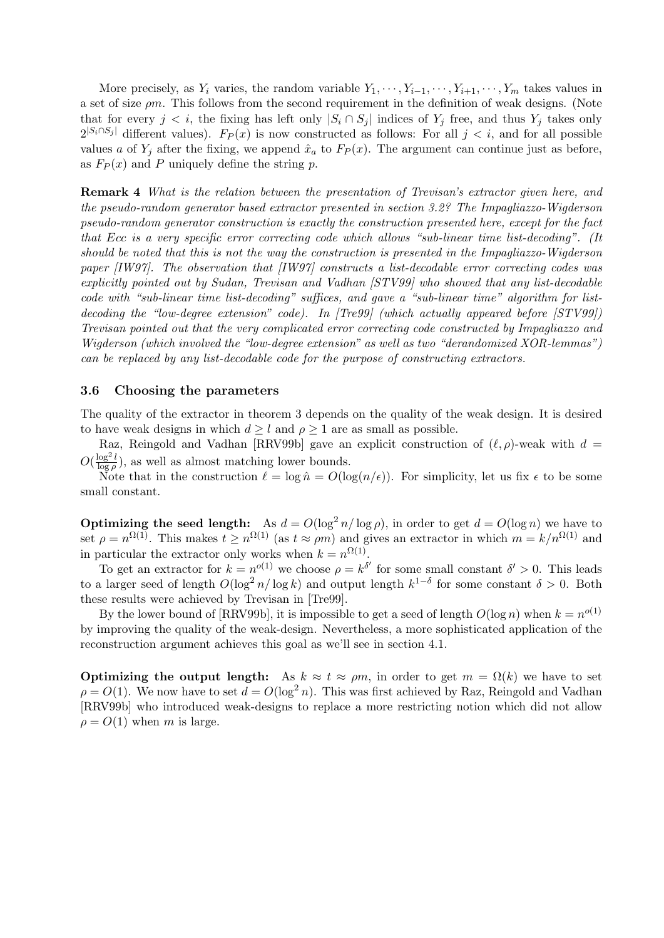More precisely, as  $Y_i$  varies, the random variable  $Y_1, \dots, Y_{i-1}, \dots, Y_{i+1}, \dots, Y_m$  takes values in a set of size  $\rho m$ . This follows from the second requirement in the definition of weak designs. (Note that for every  $j < i$ , the fixing has left only  $|S_i \cap S_j|$  indices of  $Y_j$  free, and thus  $Y_j$  takes only  $2^{|S_i \cap S_j|}$  different values).  $F_P(x)$  is now constructed as follows: For all  $j < i$ , and for all possible values a of  $Y_j$  after the fixing, we append  $\hat{x}_a$  to  $F_P(x)$ . The argument can continue just as before, as  $F_P(x)$  and P uniquely define the string p.

Remark 4 What is the relation between the presentation of Trevisan's extractor given here, and the pseudo-random generator based extractor presented in section 3.2? The Impagliazzo-Wigderson pseudo-random generator construction is exactly the construction presented here, except for the fact that Ecc is a very specific error correcting code which allows "sub-linear time list-decoding". (It should be noted that this is not the way the construction is presented in the Impagliazzo-Wigderson paper [IW97]. The observation that [IW97] constructs a list-decodable error correcting codes was explicitly pointed out by Sudan, Trevisan and Vadhan [STV99] who showed that any list-decodable code with "sub-linear time list-decoding" suffices, and gave a "sub-linear time" algorithm for listdecoding the "low-degree extension" code). In [Tre99] (which actually appeared before [STV99]) Trevisan pointed out that the very complicated error correcting code constructed by Impagliazzo and Wigderson (which involved the "low-degree extension" as well as two "derandomized XOR-lemmas") can be replaced by any list-decodable code for the purpose of constructing extractors.

#### 3.6 Choosing the parameters

The quality of the extractor in theorem 3 depends on the quality of the weak design. It is desired to have weak designs in which  $d \geq l$  and  $\rho \geq 1$  are as small as possible.

Raz, Reingold and Vadhan [RRV99b] gave an explicit construction of  $(\ell, \rho)$ -weak with  $d =$  $O(\frac{\log^2 l}{\log n})$  $\frac{\log^2 l}{\log \rho}$ , as well as almost matching lower bounds.

Note that in the construction  $\ell = \log \hat{n} = O(\log(n/\epsilon))$ . For simplicity, let us fix  $\epsilon$  to be some small constant.

**Optimizing the seed length:** As  $d = O(\log^2 n / \log \rho)$ , in order to get  $d = O(\log n)$  we have to set  $\rho = n^{\Omega(1)}$ . This makes  $t \geq n^{\Omega(1)}$  (as  $t \approx \rho m$ ) and gives an extractor in which  $m = k/n^{\Omega(1)}$  and in particular the extractor only works when  $k = n^{\Omega(1)}$ .

To get an extractor for  $k = n^{o(1)}$  we choose  $\rho = k^{\delta'}$  for some small constant  $\delta' > 0$ . This leads to a larger seed of length  $O(\log^2 n/\log k)$  and output length  $k^{1-\delta}$  for some constant  $\delta > 0$ . Both these results were achieved by Trevisan in [Tre99].

By the lower bound of [RRV99b], it is impossible to get a seed of length  $O(\log n)$  when  $k = n^{o(1)}$ by improving the quality of the weak-design. Nevertheless, a more sophisticated application of the reconstruction argument achieves this goal as we'll see in section 4.1.

**Optimizing the output length:** As  $k \approx t \approx \rho m$ , in order to get  $m = \Omega(k)$  we have to set  $\rho = O(1)$ . We now have to set  $d = O(\log^2 n)$ . This was first achieved by Raz, Reingold and Vadhan [RRV99b] who introduced weak-designs to replace a more restricting notion which did not allow  $\rho = O(1)$  when m is large.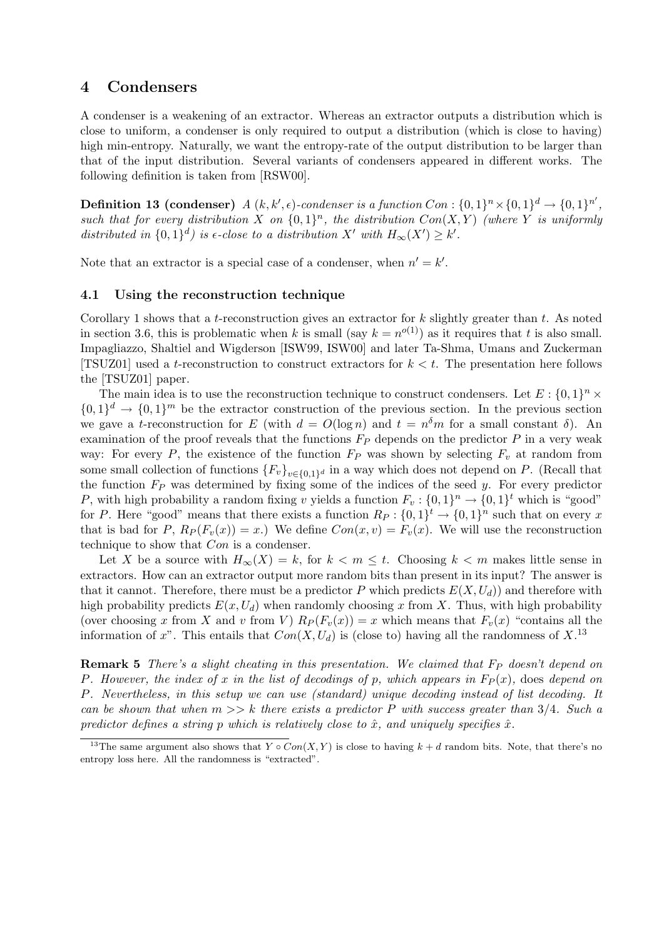# 4 Condensers

A condenser is a weakening of an extractor. Whereas an extractor outputs a distribution which is close to uniform, a condenser is only required to output a distribution (which is close to having) high min-entropy. Naturally, we want the entropy-rate of the output distribution to be larger than that of the input distribution. Several variants of condensers appeared in different works. The following definition is taken from [RSW00].

**Definition 13 (condenser)**  $A(k, k', \epsilon)$ -condenser is a function  $Con: \{0, 1\}^n \times \{0, 1\}^d \rightarrow \{0, 1\}^{n'}$ such that for every distribution X on  $\{0,1\}^n$ , the distribution  $Con(X,Y)$  (where Y is uniformly distributed in  $\{0,1\}^d$  is  $\epsilon$ -close to a distribution X' with  $H_{\infty}(X') \geq k'$ .

Note that an extractor is a special case of a condenser, when  $n' = k'$ .

## 4.1 Using the reconstruction technique

Corollary 1 shows that a *t*-reconstruction gives an extractor for  $k$  slightly greater than  $t$ . As noted in section 3.6, this is problematic when k is small (say  $k = n^{o(1)}$ ) as it requires that t is also small. Impagliazzo, Shaltiel and Wigderson [ISW99, ISW00] and later Ta-Shma, Umans and Zuckerman [TSUZ01] used a t-reconstruction to construct extractors for  $k < t$ . The presentation here follows the [TSUZ01] paper.

The main idea is to use the reconstruction technique to construct condensers. Let  $E: \{0,1\}^n \times$  $\{0,1\}^d \to \{0,1\}^m$  be the extractor construction of the previous section. In the previous section we gave a t-reconstruction for E (with  $d = O(\log n)$  and  $t = n<sup>\delta</sup>m$  for a small constant  $\delta$ ). An examination of the proof reveals that the functions  $F_P$  depends on the predictor P in a very weak way: For every P, the existence of the function  $F_P$  was shown by selecting  $F_v$  at random from some small collection of functions  ${F_v}_{v \in \{0,1\}^d}$  in a way which does not depend on P. (Recall that the function  $F_P$  was determined by fixing some of the indices of the seed  $y$ . For every predictor P, with high probability a random fixing v yields a function  $F_v: \{0,1\}^n \to \{0,1\}^t$  which is "good" for P. Here "good" means that there exists a function  $R_P: \{0,1\}^t \to \{0,1\}^n$  such that on every x that is bad for P,  $R_P(F_v(x)) = x$ .) We define  $Con(x, v) = F_v(x)$ . We will use the reconstruction technique to show that Con is a condenser.

Let X be a source with  $H_{\infty}(X) = k$ , for  $k < m \leq t$ . Choosing  $k < m$  makes little sense in extractors. How can an extractor output more random bits than present in its input? The answer is that it cannot. Therefore, there must be a predictor P which predicts  $E(X, U_d)$  and therefore with high probability predicts  $E(x, U_d)$  when randomly choosing x from X. Thus, with high probability (over choosing x from X and v from V)  $R_P(F_v(x)) = x$  which means that  $F_v(x)$  "contains all the information of x". This entails that  $Con(X, U_d)$  is (close to) having all the randomness of  $X$ .<sup>13</sup>

**Remark 5** There's a slight cheating in this presentation. We claimed that  $F_P$  doesn't depend on P. However, the index of x in the list of decodings of p, which appears in  $F_P(x)$ , does depend on P. Nevertheless, in this setup we can use (standard) unique decoding instead of list decoding. It can be shown that when  $m >> k$  there exists a predictor P with success greater than 3/4. Such a predictor defines a string p which is relatively close to  $\hat{x}$ , and uniquely specifies  $\hat{x}$ .

<sup>&</sup>lt;sup>13</sup>The same argument also shows that  $Y \circ Con(X, Y)$  is close to having  $k + d$  random bits. Note, that there's no entropy loss here. All the randomness is "extracted".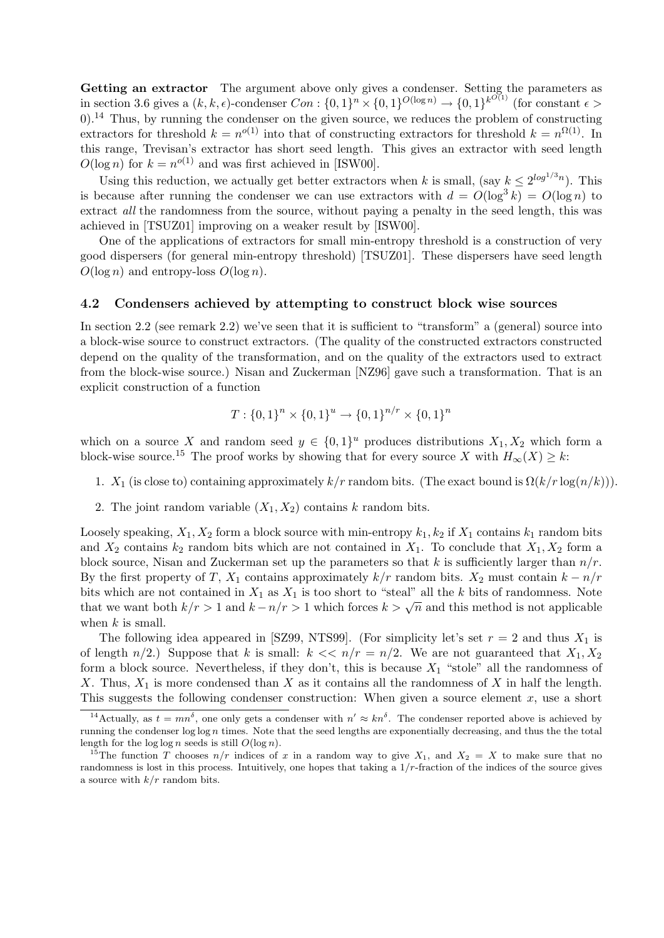Getting an extractor The argument above only gives a condenser. Setting the parameters as in section 3.6 gives a  $(k, k, \epsilon)$ -condenser  $Con: \{0, 1\}^n \times \{0, 1\}^{O(\log n)} \to \{0, 1\}^{k^{O(1)}}$  (for constant  $\epsilon$ ) 0).<sup>14</sup> Thus, by running the condenser on the given source, we reduces the problem of constructing extractors for threshold  $k = n^{o(1)}$  into that of constructing extractors for threshold  $k = n^{\Omega(1)}$ . In this range, Trevisan's extractor has short seed length. This gives an extractor with seed length  $O(\log n)$  for  $k = n^{o(1)}$  and was first achieved in [ISW00].

Using this reduction, we actually get better extractors when k is small, (say  $k \leq 2^{\log^{1/3} n}$ ). This is because after running the condenser we can use extractors with  $d = O(\log^3 k) = O(\log n)$  to extract all the randomness from the source, without paying a penalty in the seed length, this was achieved in [TSUZ01] improving on a weaker result by [ISW00].

One of the applications of extractors for small min-entropy threshold is a construction of very good dispersers (for general min-entropy threshold) [TSUZ01]. These dispersers have seed length  $O(\log n)$  and entropy-loss  $O(\log n)$ .

#### 4.2 Condensers achieved by attempting to construct block wise sources

In section 2.2 (see remark 2.2) we've seen that it is sufficient to "transform" a (general) source into a block-wise source to construct extractors. (The quality of the constructed extractors constructed depend on the quality of the transformation, and on the quality of the extractors used to extract from the block-wise source.) Nisan and Zuckerman [NZ96] gave such a transformation. That is an explicit construction of a function

$$
T: \{0,1\}^n \times \{0,1\}^u \to \{0,1\}^{n/r} \times \{0,1\}^n
$$

which on a source X and random seed  $y \in \{0,1\}^u$  produces distributions  $X_1, X_2$  which form a block-wise source.<sup>15</sup> The proof works by showing that for every source X with  $H_{\infty}(X) \geq k$ :

- 1.  $X_1$  (is close to) containing approximately  $k/r$  random bits. (The exact bound is  $\Omega(k/r \log(n/k))$ ).
- 2. The joint random variable  $(X_1, X_2)$  contains k random bits.

Loosely speaking,  $X_1, X_2$  form a block source with min-entropy  $k_1, k_2$  if  $X_1$  contains  $k_1$  random bits and  $X_2$  contains  $k_2$  random bits which are not contained in  $X_1$ . To conclude that  $X_1, X_2$  form a block source, Nisan and Zuckerman set up the parameters so that k is sufficiently larger than  $n/r$ . By the first property of T,  $X_1$  contains approximately  $k/r$  random bits.  $X_2$  must contain  $k - n/r$ bits which are not contained in  $X_1$  as  $X_1$  is too short to "steal" all the k bits of randomness. Note bits which are not contained in  $X_1$  as  $X_1$  is too short to "steal" all the k bits of randomness. Note that we want both  $k/r > 1$  and  $k - n/r > 1$  which forces  $k > \sqrt{n}$  and this method is not applicable when  $k$  is small.

The following idea appeared in [SZ99, NTS99]. (For simplicity let's set  $r = 2$  and thus  $X_1$  is of length  $n/2$ .) Suppose that k is small:  $k \ll n/r = n/2$ . We are not guaranteed that  $X_1, X_2$ form a block source. Nevertheless, if they don't, this is because  $X_1$  "stole" all the randomness of X. Thus,  $X_1$  is more condensed than X as it contains all the randomness of X in half the length. This suggests the following condenser construction: When given a source element  $x$ , use a short

<sup>&</sup>lt;sup>14</sup> Actually, as  $t = mn^{\delta}$ , one only gets a condenser with  $n' \approx kn^{\delta}$ . The condenser reported above is achieved by running the condenser  $\log \log n$  times. Note that the seed lengths are exponentially decreasing, and thus the the total length for the  $\log \log n$  seeds is still  $O(\log n)$ .

<sup>&</sup>lt;sup>15</sup>The function T chooses  $n/r$  indices of x in a random way to give  $X_1$ , and  $X_2 = X$  to make sure that no randomness is lost in this process. Intuitively, one hopes that taking a  $1/r$ -fraction of the indices of the source gives a source with  $k/r$  random bits.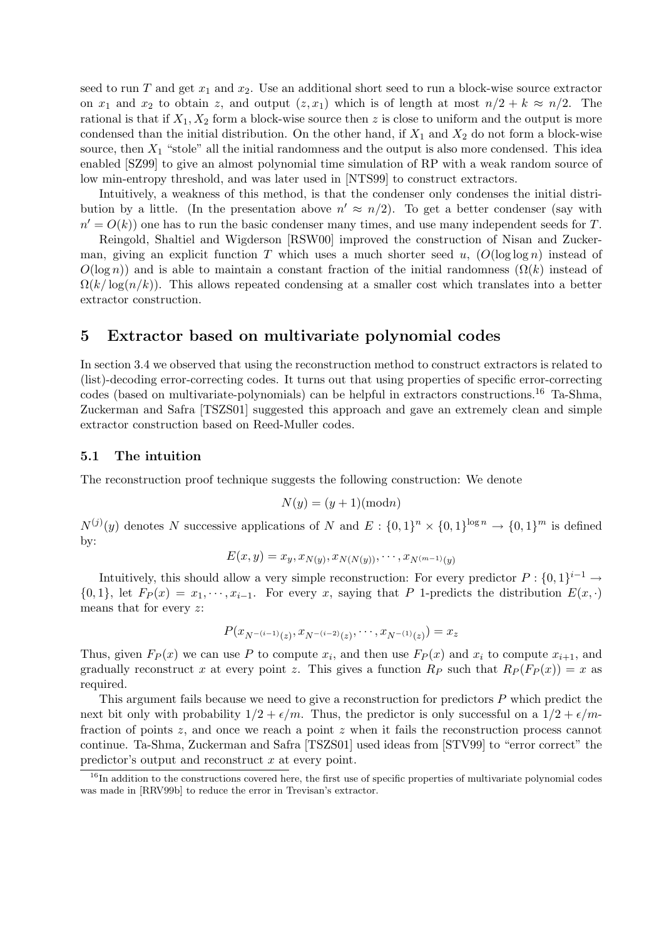seed to run T and get  $x_1$  and  $x_2$ . Use an additional short seed to run a block-wise source extractor on  $x_1$  and  $x_2$  to obtain z, and output  $(z, x_1)$  which is of length at most  $n/2 + k \approx n/2$ . The rational is that if  $X_1, X_2$  form a block-wise source then z is close to uniform and the output is more condensed than the initial distribution. On the other hand, if  $X_1$  and  $X_2$  do not form a block-wise source, then  $X_1$  "stole" all the initial randomness and the output is also more condensed. This idea enabled [SZ99] to give an almost polynomial time simulation of RP with a weak random source of low min-entropy threshold, and was later used in [NTS99] to construct extractors.

Intuitively, a weakness of this method, is that the condenser only condenses the initial distribution by a little. (In the presentation above  $n' \approx n/2$ ). To get a better condenser (say with  $n' = O(k)$ ) one has to run the basic condenser many times, and use many independent seeds for T.

Reingold, Shaltiel and Wigderson [RSW00] improved the construction of Nisan and Zuckerman, giving an explicit function T which uses a much shorter seed u,  $(O(\log \log n))$  instead of  $O(\log n)$  and is able to maintain a constant fraction of the initial randomness  $(\Omega(k))$  instead of  $\Omega(k/\log(n/k))$ . This allows repeated condensing at a smaller cost which translates into a better extractor construction.

# 5 Extractor based on multivariate polynomial codes

In section 3.4 we observed that using the reconstruction method to construct extractors is related to (list)-decoding error-correcting codes. It turns out that using properties of specific error-correcting codes (based on multivariate-polynomials) can be helpful in extractors constructions.<sup>16</sup> Ta-Shma, Zuckerman and Safra [TSZS01] suggested this approach and gave an extremely clean and simple extractor construction based on Reed-Muller codes.

# 5.1 The intuition

The reconstruction proof technique suggests the following construction: We denote

$$
N(y) = (y+1)(\text{mod}n)
$$

 $N^{(j)}(y)$  denotes N successive applications of N and  $E: \{0,1\}^n \times \{0,1\}^{\log n} \to \{0,1\}^m$  is defined by:

$$
E(x, y) = x_y, x_{N(y)}, x_{N(N(y))}, \cdots, x_{N^{(m-1)}(y)}
$$

Intuitively, this should allow a very simple reconstruction: For every predictor  $P: \{0,1\}^{i-1} \to$  ${0, 1}$ , let  $F_P(x) = x_1, \dots, x_{i-1}$ . For every x, saying that P 1-predicts the distribution  $E(x, \cdot)$ means that for every z:

$$
P(x_{N^{-(i-1)}(z)}, x_{N^{-(i-2)}(z)}, \cdots, x_{N^{-(1)}(z)}) = x_z
$$

Thus, given  $F_P(x)$  we can use P to compute  $x_i$ , and then use  $F_P(x)$  and  $x_i$  to compute  $x_{i+1}$ , and gradually reconstruct x at every point z. This gives a function  $R_P$  such that  $R_P(F_P(x)) = x$  as required.

This argument fails because we need to give a reconstruction for predictors P which predict the next bit only with probability  $1/2 + \epsilon/m$ . Thus, the predictor is only successful on a  $1/2 + \epsilon/m$ fraction of points z, and once we reach a point z when it fails the reconstruction process cannot continue. Ta-Shma, Zuckerman and Safra [TSZS01] used ideas from [STV99] to "error correct" the predictor's output and reconstruct x at every point.

 $16$ In addition to the constructions covered here, the first use of specific properties of multivariate polynomial codes was made in [RRV99b] to reduce the error in Trevisan's extractor.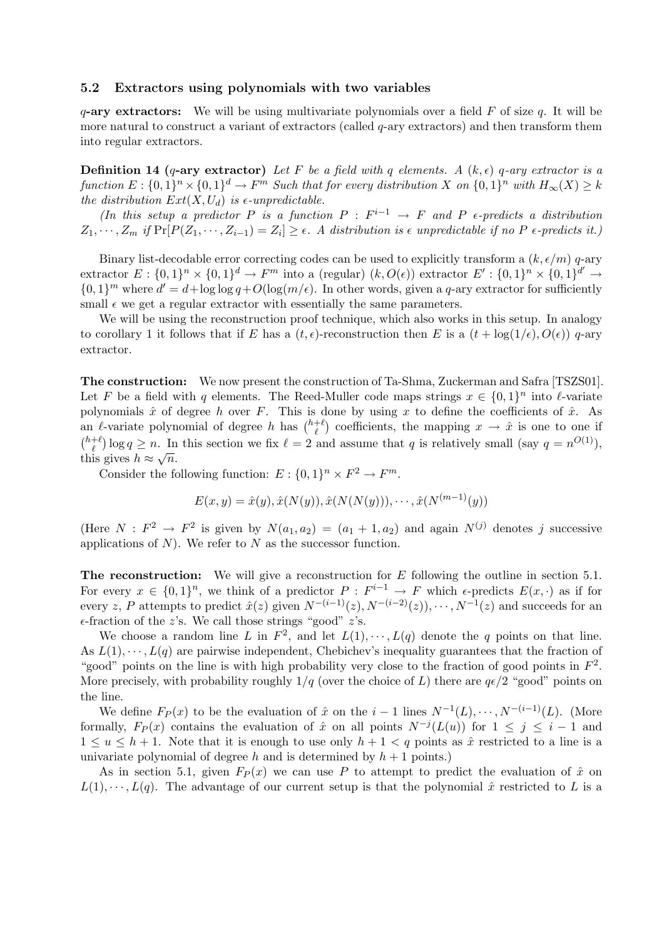#### 5.2 Extractors using polynomials with two variables

 $q$ -ary extractors: We will be using multivariate polynomials over a field F of size q. It will be more natural to construct a variant of extractors (called q-ary extractors) and then transform them into regular extractors.

**Definition 14 (q-ary extractor)** Let F be a field with q elements. A  $(k, \epsilon)$  q-ary extractor is a function  $E: \{0,1\}^n \times \{0,1\}^d \to F^m$  Such that for every distribution X on  $\{0,1\}^n$  with  $H_\infty(X) \geq k$ the distribution  $Ext(X, U_d)$  is e-unpredictable.

(In this setup a predictor P is a function  $P : F^{i-1} \to F$  and P  $\epsilon$ -predicts a distribution  $Z_1, \dots, Z_m$  if  $\Pr[P(Z_1, \dots, Z_{i-1}) = Z_i] \ge \epsilon$ . A distribution is  $\epsilon$  unpredictable if no P  $\epsilon$ -predicts it.)

Binary list-decodable error correcting codes can be used to explicitly transform a  $(k, \epsilon/m)$  q-ary extractor  $E: \{0,1\}^n \times \{0,1\}^d \to F^m$  into a (regular)  $(k, O(\epsilon))$  extractor  $E': \{0,1\}^n \times \{0,1\}^{d'} \to$  $\{0,1\}^m$  where  $d' = d + \log \log q + O(\log(m/\epsilon))$ . In other words, given a q-ary extractor for sufficiently small  $\epsilon$  we get a regular extractor with essentially the same parameters.

We will be using the reconstruction proof technique, which also works in this setup. In analogy to corollary 1 it follows that if E has a  $(t, \epsilon)$ -reconstruction then E is a  $(t + \log(1/\epsilon), O(\epsilon))$  q-ary extractor.

The construction: We now present the construction of Ta-Shma, Zuckerman and Safra [TSZS01]. Let F be a field with q elements. The Reed-Muller code maps strings  $x \in \{0,1\}^n$  into  $\ell$ -variate polynomials  $\hat{x}$  of degree h over F. This is done by using x to define the coefficients of  $\hat{x}$ . As an  $\ell$ -variate polynomial of degree h has  $\binom{h+\ell}{\ell}$  coefficients, the mapping  $x \to \hat{x}$  is one to one if  $\binom{h+\ell}{\ell} \log q \ge n$ . In this section we fix  $\ell = 2$  and assume that q is relatively small (say  $q = n^{O(1)}$ ), this gives  $h \approx \sqrt{n}$ .

Consider the following function:  $E: \{0,1\}^n \times F^2 \to F^m$ .

$$
E(x, y) = \hat{x}(y), \hat{x}(N(y)), \hat{x}(N(N(y))), \cdots, \hat{x}(N^{(m-1)}(y))
$$

(Here  $N: F^2 \to F^2$  is given by  $N(a_1, a_2) = (a_1 + 1, a_2)$  and again  $N^{(j)}$  denotes j successive applications of  $N$ ). We refer to  $N$  as the successor function.

The reconstruction: We will give a reconstruction for  $E$  following the outline in section 5.1. For every  $x \in \{0,1\}^n$ , we think of a predictor  $P : F^{i-1} \to F$  which  $\epsilon$ -predicts  $E(x, \cdot)$  as if for every z, P attempts to predict  $\hat{x}(z)$  given  $N^{-(i-1)}(z), N^{-(i-2)}(z), \cdots, N^{-1}(z)$  and succeeds for an  $\epsilon$ -fraction of the z's. We call those strings "good" z's.

We choose a random line L in  $F^2$ , and let  $L(1), \dots, L(q)$  denote the q points on that line. As  $L(1), \dots, L(q)$  are pairwise independent, Chebichev's inequality guarantees that the fraction of "good" points on the line is with high probability very close to the fraction of good points in  $F^2$ . More precisely, with probability roughly  $1/q$  (over the choice of L) there are  $q\epsilon/2$  "good" points on the line.

We define  $F_P(x)$  to be the evaluation of  $\hat{x}$  on the  $i-1$  lines  $N^{-1}(L), \dots, N^{-(i-1)}(L)$ . (More formally,  $F_P(x)$  contains the evaluation of  $\hat{x}$  on all points  $N^{-j}(L(u))$  for  $1 \leq j \leq i-1$  and  $1 \le u \le h+1$ . Note that it is enough to use only  $h+1 < q$  points as  $\hat{x}$  restricted to a line is a univariate polynomial of degree h and is determined by  $h + 1$  points.)

As in section 5.1, given  $F_P(x)$  we can use P to attempt to predict the evaluation of  $\hat{x}$  on  $L(1), \dots, L(q)$ . The advantage of our current setup is that the polynomial  $\hat{x}$  restricted to L is a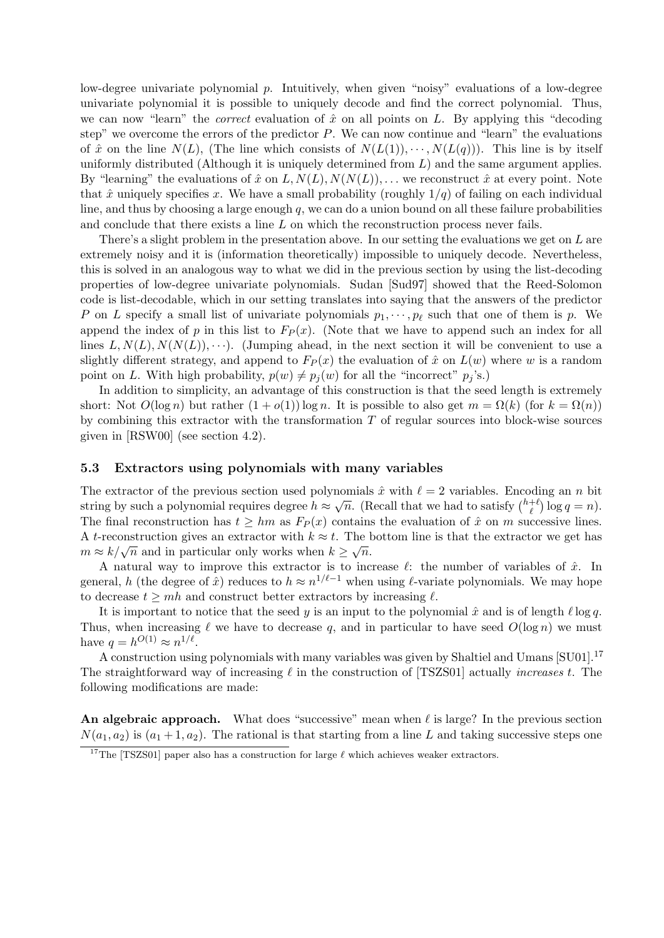low-degree univariate polynomial p. Intuitively, when given "noisy" evaluations of a low-degree univariate polynomial it is possible to uniquely decode and find the correct polynomial. Thus, we can now "learn" the *correct* evaluation of  $\hat{x}$  on all points on L. By applying this "decoding step" we overcome the errors of the predictor  $P$ . We can now continue and "learn" the evaluations of  $\hat{x}$  on the line  $N(L)$ , (The line which consists of  $N(L(1)), \cdots, N(L(q))$ ). This line is by itself uniformly distributed (Although it is uniquely determined from  $L$ ) and the same argument applies. By "learning" the evaluations of  $\hat{x}$  on  $L, N(L), N(N(L))$ , ... we reconstruct  $\hat{x}$  at every point. Note that  $\hat{x}$  uniquely specifies x. We have a small probability (roughly  $1/q$ ) of failing on each individual line, and thus by choosing a large enough  $q$ , we can do a union bound on all these failure probabilities and conclude that there exists a line L on which the reconstruction process never fails.

There's a slight problem in the presentation above. In our setting the evaluations we get on  $L$  are extremely noisy and it is (information theoretically) impossible to uniquely decode. Nevertheless, this is solved in an analogous way to what we did in the previous section by using the list-decoding properties of low-degree univariate polynomials. Sudan [Sud97] showed that the Reed-Solomon code is list-decodable, which in our setting translates into saying that the answers of the predictor P on L specify a small list of univariate polynomials  $p_1, \dots, p_\ell$  such that one of them is p. We append the index of p in this list to  $F_P(x)$ . (Note that we have to append such an index for all lines  $L, N(L), N(N(L)), \cdots$ ). (Jumping ahead, in the next section it will be convenient to use a slightly different strategy, and append to  $F_P(x)$  the evaluation of  $\hat{x}$  on  $L(w)$  where w is a random point on L. With high probability,  $p(w) \neq p_i(w)$  for all the "incorrect"  $p_j$ 's.)

In addition to simplicity, an advantage of this construction is that the seed length is extremely short: Not  $O(\log n)$  but rather  $(1 + o(1)) \log n$ . It is possible to also get  $m = \Omega(k)$  (for  $k = \Omega(n)$ ) by combining this extractor with the transformation  $T$  of regular sources into block-wise sources given in [RSW00] (see section 4.2).

#### 5.3 Extractors using polynomials with many variables

The extractor of the previous section used polynomials  $\hat{x}$  with  $\ell = 2$  variables. Encoding an n bit string by such a polynomial requires degree  $h \approx \sqrt{n}$ . (Recall that we had to satisfy  $\binom{h+\ell}{\ell} \log q = n$ ). The final reconstruction has  $t \geq hm$  as  $F_P(x)$  contains the evaluation of  $\hat{x}$  on m successive lines. A t-reconstruction gives an extractor with  $k \approx t$ . The bottom line is that the extractor we get has A *t*-reconstruction gives an extractor with  $k \approx t$ . The  $m \approx k/\sqrt{n}$  and in particular only works when  $k \geq \sqrt{n}$ .

A natural way to improve this extractor is to increase  $\ell$ : the number of variables of  $\hat{x}$ . In general, h (the degree of  $\hat{x}$ ) reduces to  $h \approx n^{1/\ell-1}$  when using  $\ell$ -variate polynomials. We may hope to decrease  $t \geq m h$  and construct better extractors by increasing  $\ell$ .

It is important to notice that the seed y is an input to the polynomial  $\hat{x}$  and is of length  $\ell \log q$ . Thus, when increasing  $\ell$  we have to decrease q, and in particular to have seed  $O(\log n)$  we must have  $q = h^{O(1)} \approx n^{1/\ell}$ .

A construction using polynomials with many variables was given by Shaltiel and Umans [SU01].<sup>17</sup> The straightforward way of increasing  $\ell$  in the construction of [TSZS01] actually *increases t*. The following modifications are made:

An algebraic approach. What does "successive" mean when  $\ell$  is large? In the previous section  $N(a_1, a_2)$  is  $(a_1 + 1, a_2)$ . The rational is that starting from a line L and taking successive steps one

<sup>&</sup>lt;sup>17</sup>The [TSZS01] paper also has a construction for large  $\ell$  which achieves weaker extractors.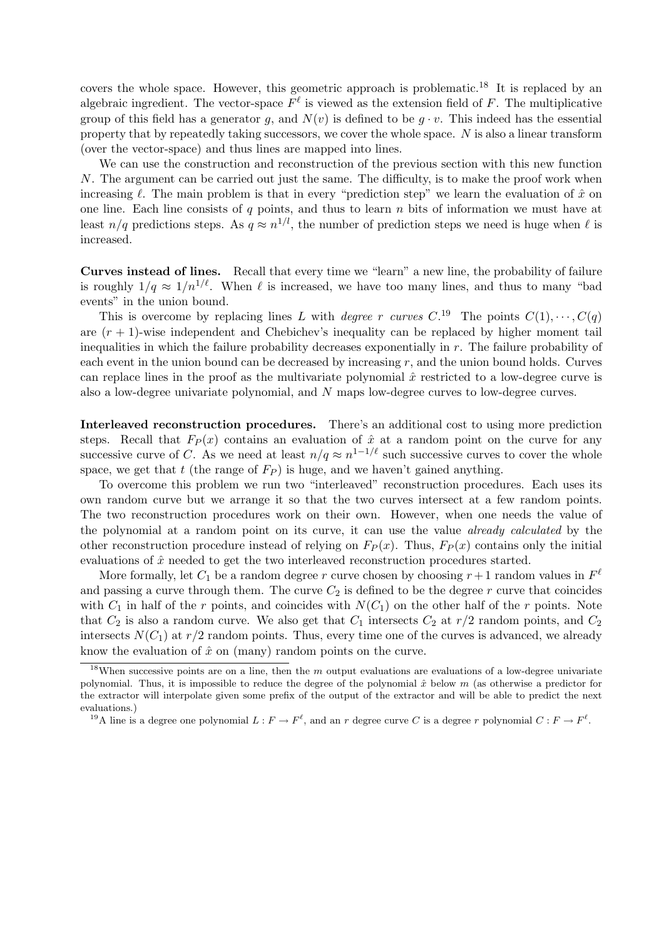covers the whole space. However, this geometric approach is problematic.<sup>18</sup> It is replaced by an algebraic ingredient. The vector-space  $F^{\ell}$  is viewed as the extension field of F. The multiplicative group of this field has a generator q, and  $N(v)$  is defined to be  $q \cdot v$ . This indeed has the essential property that by repeatedly taking successors, we cover the whole space. N is also a linear transform (over the vector-space) and thus lines are mapped into lines.

We can use the construction and reconstruction of the previous section with this new function N. The argument can be carried out just the same. The difficulty, is to make the proof work when increasing  $\ell$ . The main problem is that in every "prediction step" we learn the evaluation of  $\hat{x}$  on one line. Each line consists of q points, and thus to learn  $n$  bits of information we must have at least  $n/q$  predictions steps. As  $q \approx n^{1/l}$ , the number of prediction steps we need is huge when  $\ell$  is increased.

Curves instead of lines. Recall that every time we "learn" a new line, the probability of failure is roughly  $1/q \approx 1/n^{1/\ell}$ . When  $\ell$  is increased, we have too many lines, and thus to many "bad events" in the union bound.

This is overcome by replacing lines L with degree r curves  $C^{19}$ . The points  $C(1), \cdots, C(q)$ are  $(r + 1)$ -wise independent and Chebichev's inequality can be replaced by higher moment tail inequalities in which the failure probability decreases exponentially in r. The failure probability of each event in the union bound can be decreased by increasing  $r$ , and the union bound holds. Curves can replace lines in the proof as the multivariate polynomial  $\hat{x}$  restricted to a low-degree curve is also a low-degree univariate polynomial, and N maps low-degree curves to low-degree curves.

Interleaved reconstruction procedures. There's an additional cost to using more prediction steps. Recall that  $F_P(x)$  contains an evaluation of  $\hat{x}$  at a random point on the curve for any successive curve of C. As we need at least  $n/q \approx n^{1-1/\ell}$  such successive curves to cover the whole space, we get that t (the range of  $F_P$ ) is huge, and we haven't gained anything.

To overcome this problem we run two "interleaved" reconstruction procedures. Each uses its own random curve but we arrange it so that the two curves intersect at a few random points. The two reconstruction procedures work on their own. However, when one needs the value of the polynomial at a random point on its curve, it can use the value already calculated by the other reconstruction procedure instead of relying on  $F_P(x)$ . Thus,  $F_P(x)$  contains only the initial evaluations of  $\hat{x}$  needed to get the two interleaved reconstruction procedures started.

More formally, let  $C_1$  be a random degree r curve chosen by choosing  $r+1$  random values in  $F^{\ell}$ and passing a curve through them. The curve  $C_2$  is defined to be the degree r curve that coincides with  $C_1$  in half of the r points, and coincides with  $N(C_1)$  on the other half of the r points. Note that  $C_2$  is also a random curve. We also get that  $C_1$  intersects  $C_2$  at  $r/2$  random points, and  $C_2$ intersects  $N(C_1)$  at  $r/2$  random points. Thus, every time one of the curves is advanced, we already know the evaluation of  $\hat{x}$  on (many) random points on the curve.

 $18$ When successive points are on a line, then the m output evaluations are evaluations of a low-degree univariate polynomial. Thus, it is impossible to reduce the degree of the polynomial  $\hat{x}$  below m (as otherwise a predictor for the extractor will interpolate given some prefix of the output of the extractor and will be able to predict the next evaluations.)

<sup>&</sup>lt;sup>19</sup>A line is a degree one polynomial  $L: F \to F^{\ell}$ , and an r degree curve C is a degree r polynomial  $C: F \to F^{\ell}$ .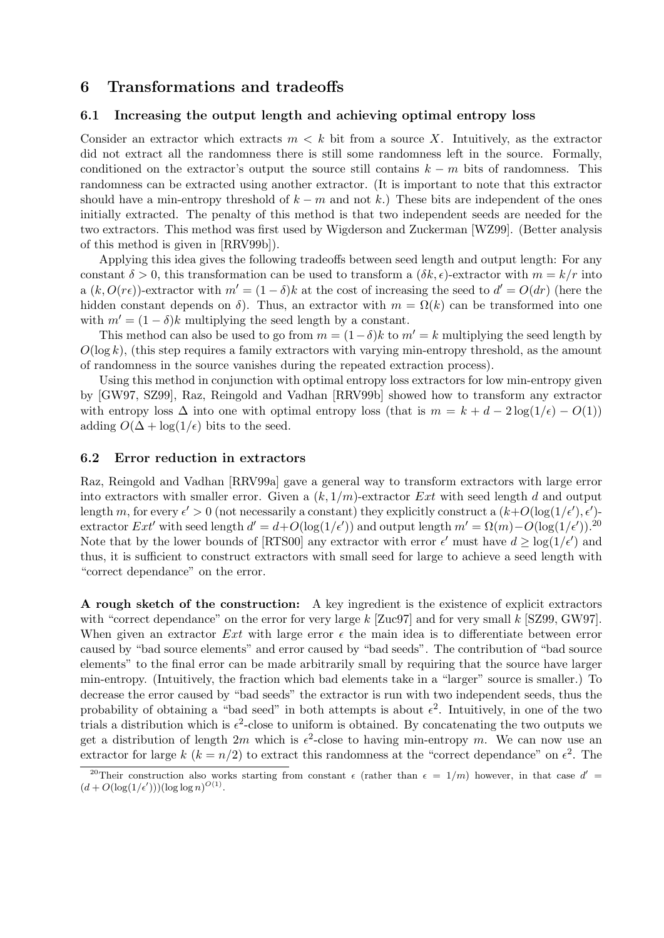# 6 Transformations and tradeoffs

# 6.1 Increasing the output length and achieving optimal entropy loss

Consider an extractor which extracts  $m < k$  bit from a source X. Intuitively, as the extractor did not extract all the randomness there is still some randomness left in the source. Formally, conditioned on the extractor's output the source still contains  $k - m$  bits of randomness. This randomness can be extracted using another extractor. (It is important to note that this extractor should have a min-entropy threshold of  $k - m$  and not k.) These bits are independent of the ones initially extracted. The penalty of this method is that two independent seeds are needed for the two extractors. This method was first used by Wigderson and Zuckerman [WZ99]. (Better analysis of this method is given in [RRV99b]).

Applying this idea gives the following tradeoffs between seed length and output length: For any constant  $\delta > 0$ , this transformation can be used to transform a  $(\delta k, \epsilon)$ -extractor with  $m = k/r$  into a  $(k, O(r\epsilon))$ -extractor with  $m' = (1 - \delta)k$  at the cost of increasing the seed to  $d' = O(dr)$  (here the hidden constant depends on  $\delta$ ). Thus, an extractor with  $m = \Omega(k)$  can be transformed into one with  $m' = (1 - \delta)k$  multiplying the seed length by a constant.

This method can also be used to go from  $m = (1 - \delta)k$  to  $m' = k$  multiplying the seed length by  $O(\log k)$ , (this step requires a family extractors with varying min-entropy threshold, as the amount of randomness in the source vanishes during the repeated extraction process).

Using this method in conjunction with optimal entropy loss extractors for low min-entropy given by [GW97, SZ99], Raz, Reingold and Vadhan [RRV99b] showed how to transform any extractor with entropy loss  $\Delta$  into one with optimal entropy loss (that is  $m = k + d - 2 \log(1/\epsilon) - O(1)$ ) adding  $O(\Delta + \log(1/\epsilon))$  bits to the seed.

## 6.2 Error reduction in extractors

Raz, Reingold and Vadhan [RRV99a] gave a general way to transform extractors with large error into extractors with smaller error. Given a  $(k, 1/m)$ -extractor Ext with seed length d and output length m, for every  $\epsilon' > 0$  (not necessarily a constant) they explicitly construct a  $(k+O(\log(1/\epsilon'), \epsilon')$ extractor Ext' with seed length  $d' = d + O(\log(1/\epsilon'))$  and output length  $m' = \Omega(m) - O(\log(1/\epsilon'))$ .<sup>20</sup> Note that by the lower bounds of [RTS00] any extractor with error  $\epsilon'$  must have  $d \geq \log(1/\epsilon')$  and thus, it is sufficient to construct extractors with small seed for large to achieve a seed length with "correct dependance" on the error.

A rough sketch of the construction: A key ingredient is the existence of explicit extractors with "correct dependance" on the error for very large k [Zuc97] and for very small k [SZ99, GW97]. When given an extractor Ext with large error  $\epsilon$  the main idea is to differentiate between error caused by "bad source elements" and error caused by "bad seeds". The contribution of "bad source elements" to the final error can be made arbitrarily small by requiring that the source have larger min-entropy. (Intuitively, the fraction which bad elements take in a "larger" source is smaller.) To decrease the error caused by "bad seeds" the extractor is run with two independent seeds, thus the probability of obtaining a "bad seed" in both attempts is about  $\epsilon^2$ . Intuitively, in one of the two trials a distribution which is  $\epsilon^2$ -close to uniform is obtained. By concatenating the two outputs we get a distribution of length  $2m$  which is  $\epsilon^2$ -close to having min-entropy m. We can now use an extractor for large  $k$  ( $k = n/2$ ) to extract this randomness at the "correct dependance" on  $\epsilon^2$ . The

<sup>&</sup>lt;sup>20</sup>Their construction also works starting from constant  $\epsilon$  (rather than  $\epsilon = 1/m$ ) however, in that case  $d' =$  $(d + O(\log(1/\epsilon')))(\log \log n)^{O(1)}.$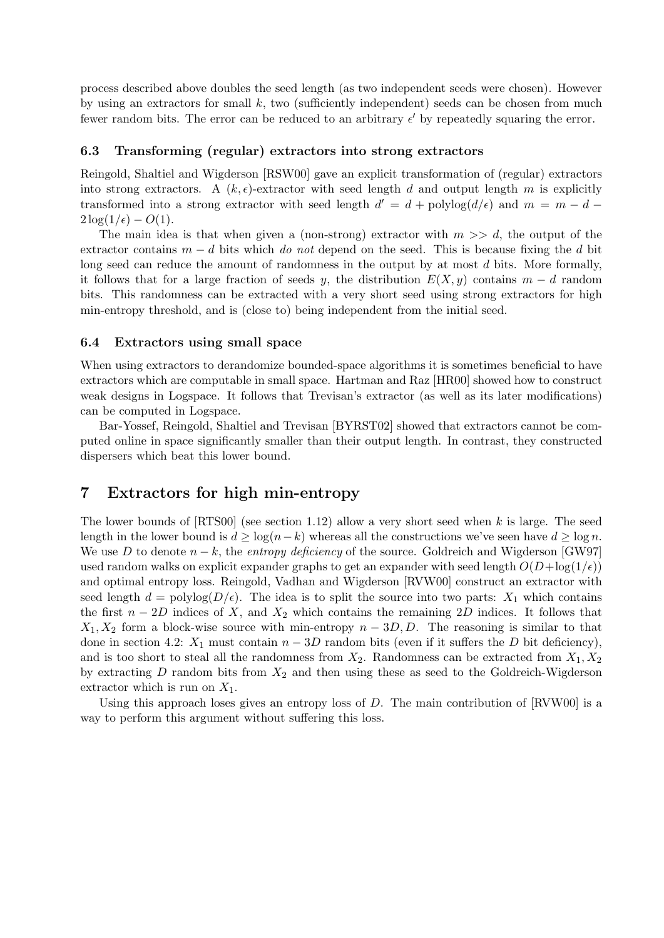process described above doubles the seed length (as two independent seeds were chosen). However by using an extractors for small  $k$ , two (sufficiently independent) seeds can be chosen from much fewer random bits. The error can be reduced to an arbitrary  $\epsilon'$  by repeatedly squaring the error.

## 6.3 Transforming (regular) extractors into strong extractors

Reingold, Shaltiel and Wigderson [RSW00] gave an explicit transformation of (regular) extractors into strong extractors. A  $(k, \epsilon)$ -extractor with seed length d and output length m is explicitly transformed into a strong extractor with seed length  $d' = d + \text{polylog}(d/\epsilon)$  and  $m = m - d 2\log(1/\epsilon) - O(1)$ .

The main idea is that when given a (non-strong) extractor with  $m \gg d$ , the output of the extractor contains  $m - d$  bits which do not depend on the seed. This is because fixing the d bit long seed can reduce the amount of randomness in the output by at most d bits. More formally, it follows that for a large fraction of seeds y, the distribution  $E(X, y)$  contains  $m - d$  random bits. This randomness can be extracted with a very short seed using strong extractors for high min-entropy threshold, and is (close to) being independent from the initial seed.

## 6.4 Extractors using small space

When using extractors to derandomize bounded-space algorithms it is sometimes beneficial to have extractors which are computable in small space. Hartman and Raz [HR00] showed how to construct weak designs in Logspace. It follows that Trevisan's extractor (as well as its later modifications) can be computed in Logspace.

Bar-Yossef, Reingold, Shaltiel and Trevisan [BYRST02] showed that extractors cannot be computed online in space significantly smaller than their output length. In contrast, they constructed dispersers which beat this lower bound.

# 7 Extractors for high min-entropy

The lower bounds of  $[RTS00]$  (see section 1.12) allow a very short seed when k is large. The seed length in the lower bound is  $d \geq \log(n-k)$  whereas all the constructions we've seen have  $d \geq \log n$ . We use D to denote  $n - k$ , the entropy deficiency of the source. Goldreich and Wigderson [GW97] used random walks on explicit expander graphs to get an expander with seed length  $O(D + \log(1/\epsilon))$ and optimal entropy loss. Reingold, Vadhan and Wigderson [RVW00] construct an extractor with seed length  $d = \text{polylog}(D/\epsilon)$ . The idea is to split the source into two parts:  $X_1$  which contains the first  $n-2D$  indices of X, and  $X_2$  which contains the remaining 2D indices. It follows that  $X_1, X_2$  form a block-wise source with min-entropy  $n-3D, D$ . The reasoning is similar to that done in section 4.2:  $X_1$  must contain  $n - 3D$  random bits (even if it suffers the D bit deficiency), and is too short to steal all the randomness from  $X_2$ . Randomness can be extracted from  $X_1, X_2$ by extracting  $D$  random bits from  $X_2$  and then using these as seed to the Goldreich-Wigderson extractor which is run on  $X_1$ .

Using this approach loses gives an entropy loss of  $D$ . The main contribution of  $\text{RVW00}$  is a way to perform this argument without suffering this loss.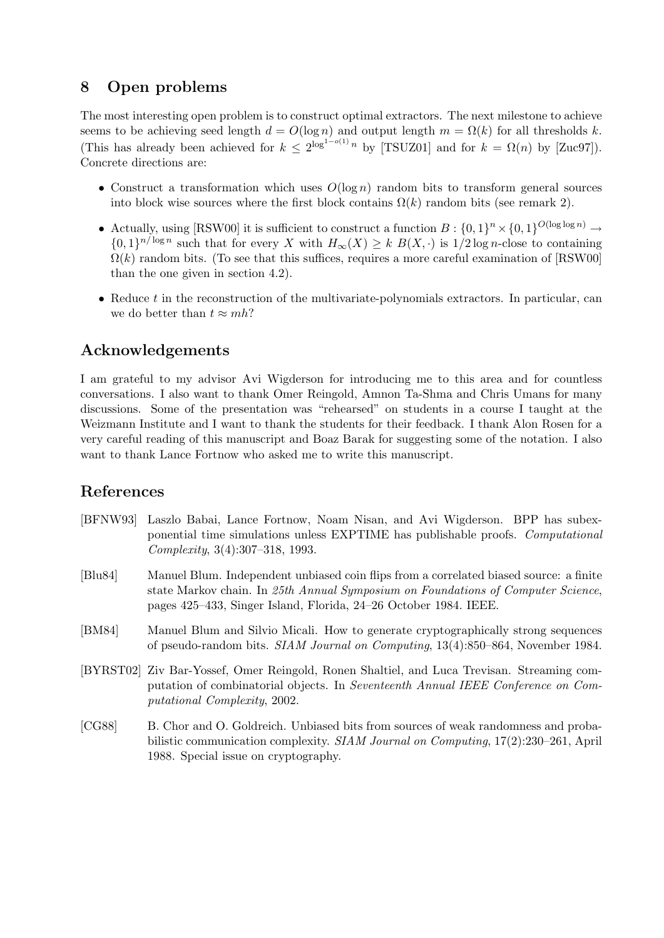# 8 Open problems

The most interesting open problem is to construct optimal extractors. The next milestone to achieve seems to be achieving seed length  $d = O(\log n)$  and output length  $m = \Omega(k)$  for all thresholds k. (This has already been achieved for  $k \leq 2^{\log^{1-o(1)} n}$  by [TSUZ01] and for  $k = \Omega(n)$  by [Zuc97]). Concrete directions are:

- Construct a transformation which uses  $O(\log n)$  random bits to transform general sources into block wise sources where the first block contains  $\Omega(k)$  random bits (see remark 2).
- Actually, using [RSW00] it is sufficient to construct a function  $B: \{0,1\}^n \times \{0,1\}^{O(\log \log n)} \to$  $\{0,1\}^{n/\log n}$  such that for every X with  $H_{\infty}(X) \geq k \ B(X, \cdot)$  is  $1/2 \log n$ -close to containing  $\Omega(k)$  random bits. (To see that this suffices, requires a more careful examination of [RSW00] than the one given in section 4.2).
- Reduce  $t$  in the reconstruction of the multivariate-polynomials extractors. In particular, can we do better than  $t \approx m h$ ?

# Acknowledgements

I am grateful to my advisor Avi Wigderson for introducing me to this area and for countless conversations. I also want to thank Omer Reingold, Amnon Ta-Shma and Chris Umans for many discussions. Some of the presentation was "rehearsed" on students in a course I taught at the Weizmann Institute and I want to thank the students for their feedback. I thank Alon Rosen for a very careful reading of this manuscript and Boaz Barak for suggesting some of the notation. I also want to thank Lance Fortnow who asked me to write this manuscript.

# References

- [BFNW93] Laszlo Babai, Lance Fortnow, Noam Nisan, and Avi Wigderson. BPP has subexponential time simulations unless EXPTIME has publishable proofs. Computational Complexity, 3(4):307–318, 1993.
- [Blu84] Manuel Blum. Independent unbiased coin flips from a correlated biased source: a finite state Markov chain. In 25th Annual Symposium on Foundations of Computer Science, pages 425–433, Singer Island, Florida, 24–26 October 1984. IEEE.
- [BM84] Manuel Blum and Silvio Micali. How to generate cryptographically strong sequences of pseudo-random bits. SIAM Journal on Computing, 13(4):850–864, November 1984.
- [BYRST02] Ziv Bar-Yossef, Omer Reingold, Ronen Shaltiel, and Luca Trevisan. Streaming computation of combinatorial objects. In Seventeenth Annual IEEE Conference on Computational Complexity, 2002.
- [CG88] B. Chor and O. Goldreich. Unbiased bits from sources of weak randomness and probabilistic communication complexity. SIAM Journal on Computing, 17(2):230–261, April 1988. Special issue on cryptography.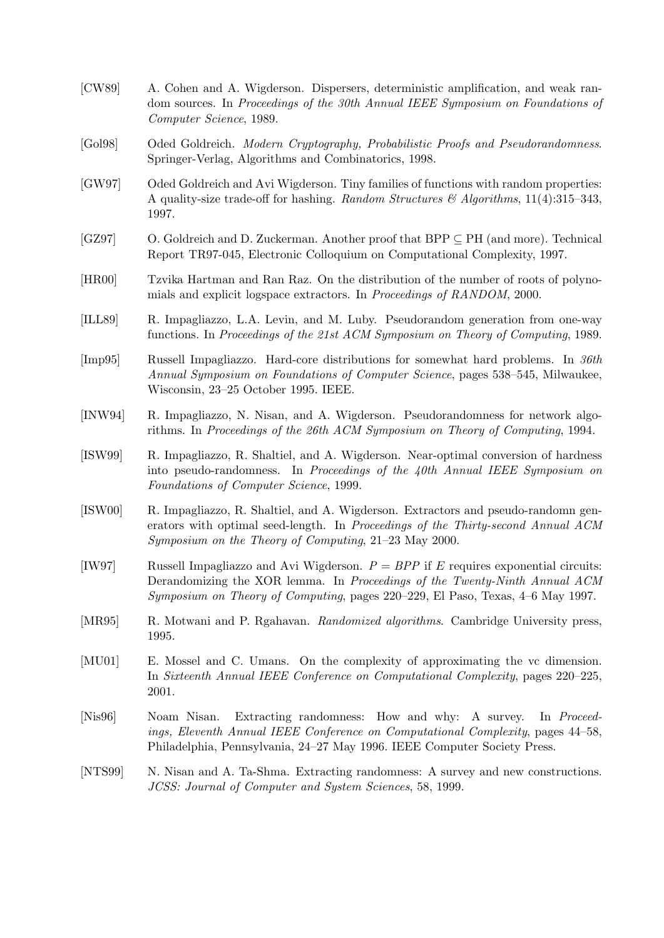| [CW89]  | A. Cohen and A. Wigderson. Dispersers, deterministic amplification, and weak ran-<br>dom sources. In Proceedings of the 30th Annual IEEE Symposium on Foundations of<br>Computer Science, 1989.                                                      |  |  |
|---------|------------------------------------------------------------------------------------------------------------------------------------------------------------------------------------------------------------------------------------------------------|--|--|
| [Gol98] | Oded Goldreich. Modern Cryptography, Probabilistic Proofs and Pseudorandomness.<br>Springer-Verlag, Algorithms and Combinatorics, 1998.                                                                                                              |  |  |
| [GW97]  | Oded Goldreich and Avi Wigderson. Tiny families of functions with random properties:<br>A quality-size trade-off for hashing. Random Structures & Algorithms, 11(4):315-343,<br>1997.                                                                |  |  |
| [GZ97]  | O. Goldreich and D. Zuckerman. Another proof that BPP $\subseteq$ PH (and more). Technical<br>Report TR97-045, Electronic Colloquium on Computational Complexity, 1997.                                                                              |  |  |
| [HR00]  | Tzvika Hartman and Ran Raz. On the distribution of the number of roots of polyno-<br>mials and explicit logspace extractors. In <i>Proceedings of RANDOM</i> , 2000.                                                                                 |  |  |
| [ILL89] | R. Impagliazzo, L.A. Levin, and M. Luby. Pseudorandom generation from one-way<br>functions. In Proceedings of the 21st ACM Symposium on Theory of Computing, 1989.                                                                                   |  |  |
| [Imp95] | Russell Impagliazzo. Hard-core distributions for somewhat hard problems. In 36th<br>Annual Symposium on Foundations of Computer Science, pages 538–545, Milwaukee,<br>Wisconsin, 23–25 October 1995. IEEE.                                           |  |  |
| [INW94] | R. Impagliazzo, N. Nisan, and A. Wigderson. Pseudorandomness for network algo-<br>rithms. In Proceedings of the 26th ACM Symposium on Theory of Computing, 1994.                                                                                     |  |  |
| [ISW99] | R. Impagliazzo, R. Shaltiel, and A. Wigderson. Near-optimal conversion of hardness<br>into pseudo-randomness. In Proceedings of the 40th Annual IEEE Symposium on<br>Foundations of Computer Science, 1999.                                          |  |  |
| [ISW00] | R. Impagliazzo, R. Shaltiel, and A. Wigderson. Extractors and pseudo-randomn gen-<br>erators with optimal seed-length. In Proceedings of the Thirty-second Annual ACM<br>Symposium on the Theory of Computing, $21-23$ May 2000.                     |  |  |
| [IW97]  | Russell Impagliazzo and Avi Wigderson. $P = BPP$ if E requires exponential circuits:<br>Derandomizing the XOR lemma. In Proceedings of the Twenty-Ninth Annual ACM<br>Symposium on Theory of Computing, pages 220–229, El Paso, Texas, 4–6 May 1997. |  |  |
| [MR95]  | R. Motwani and P. Rgahavan. <i>Randomized algorithms</i> . Cambridge University press,<br>1995.                                                                                                                                                      |  |  |
| [MU01]  | E. Mossel and C. Umans. On the complexity of approximating the vc dimension.<br>In Sixteenth Annual IEEE Conference on Computational Complexity, pages 220–225,<br>2001.                                                                             |  |  |
| [Nis96] | Extracting randomness: How and why: A survey.<br>Noam Nisan.<br>In <i>Proceed</i> -<br>ings, Eleventh Annual IEEE Conference on Computational Complexity, pages 44–58,<br>Philadelphia, Pennsylvania, 24–27 May 1996. IEEE Computer Society Press.   |  |  |
| [NTS99] | N. Nisan and A. Ta-Shma. Extracting randomness: A survey and new constructions.<br>JCSS: Journal of Computer and System Sciences, 58, 1999.                                                                                                          |  |  |
|         |                                                                                                                                                                                                                                                      |  |  |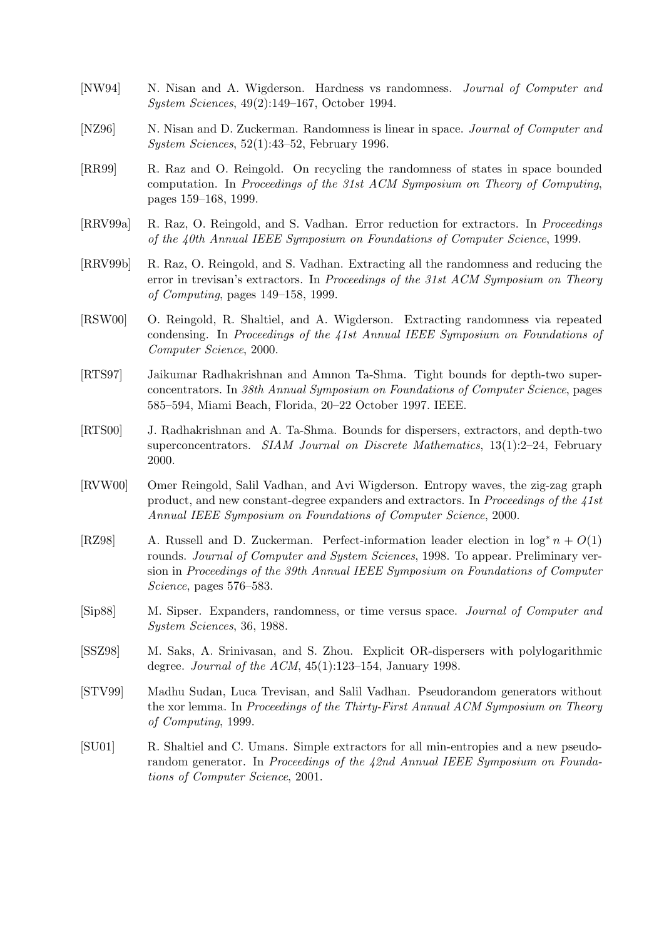- [NW94] N. Nisan and A. Wigderson. Hardness vs randomness. Journal of Computer and System Sciences, 49(2):149–167, October 1994.
- [NZ96] N. Nisan and D. Zuckerman. Randomness is linear in space. Journal of Computer and System Sciences, 52(1):43–52, February 1996.
- [RR99] R. Raz and O. Reingold. On recycling the randomness of states in space bounded computation. In Proceedings of the 31st ACM Symposium on Theory of Computing, pages 159–168, 1999.
- [RRV99a] R. Raz, O. Reingold, and S. Vadhan. Error reduction for extractors. In Proceedings of the 40th Annual IEEE Symposium on Foundations of Computer Science, 1999.
- [RRV99b] R. Raz, O. Reingold, and S. Vadhan. Extracting all the randomness and reducing the error in trevisan's extractors. In Proceedings of the 31st ACM Symposium on Theory of Computing, pages 149–158, 1999.
- [RSW00] O. Reingold, R. Shaltiel, and A. Wigderson. Extracting randomness via repeated condensing. In Proceedings of the 41st Annual IEEE Symposium on Foundations of Computer Science, 2000.
- [RTS97] Jaikumar Radhakrishnan and Amnon Ta-Shma. Tight bounds for depth-two superconcentrators. In 38th Annual Symposium on Foundations of Computer Science, pages 585–594, Miami Beach, Florida, 20–22 October 1997. IEEE.
- [RTS00] J. Radhakrishnan and A. Ta-Shma. Bounds for dispersers, extractors, and depth-two superconcentrators. SIAM Journal on Discrete Mathematics, 13(1):2–24, February 2000.
- [RVW00] Omer Reingold, Salil Vadhan, and Avi Wigderson. Entropy waves, the zig-zag graph product, and new constant-degree expanders and extractors. In Proceedings of the 41st Annual IEEE Symposium on Foundations of Computer Science, 2000.
- [RZ98] A. Russell and D. Zuckerman. Perfect-information leader election in  $\log^* n + O(1)$ rounds. Journal of Computer and System Sciences, 1998. To appear. Preliminary version in Proceedings of the 39th Annual IEEE Symposium on Foundations of Computer Science, pages 576–583.
- [Sip88] M. Sipser. Expanders, randomness, or time versus space. Journal of Computer and System Sciences, 36, 1988.
- [SSZ98] M. Saks, A. Srinivasan, and S. Zhou. Explicit OR-dispersers with polylogarithmic degree. Journal of the ACM,  $45(1):123-154$ , January 1998.
- [STV99] Madhu Sudan, Luca Trevisan, and Salil Vadhan. Pseudorandom generators without the xor lemma. In Proceedings of the Thirty-First Annual ACM Symposium on Theory of Computing, 1999.
- [SU01] R. Shaltiel and C. Umans. Simple extractors for all min-entropies and a new pseudorandom generator. In Proceedings of the 42nd Annual IEEE Symposium on Foundations of Computer Science, 2001.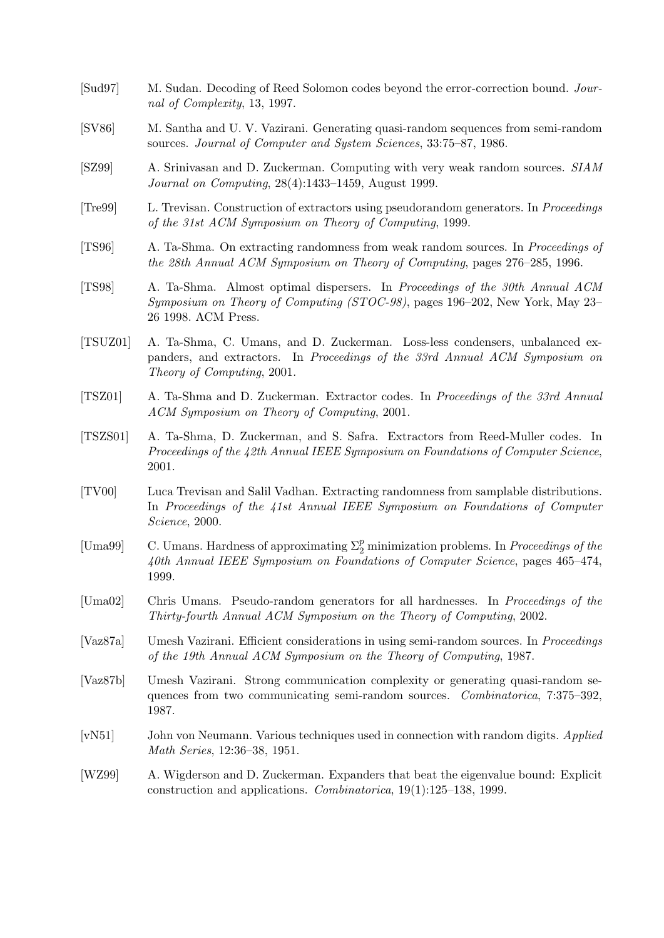- [Sud97] M. Sudan. Decoding of Reed Solomon codes beyond the error-correction bound. Journal of Complexity, 13, 1997.
- [SV86] M. Santha and U. V. Vazirani. Generating quasi-random sequences from semi-random sources. Journal of Computer and System Sciences, 33:75–87, 1986.
- [SZ99] A. Srinivasan and D. Zuckerman. Computing with very weak random sources. SIAM Journal on Computing, 28(4):1433–1459, August 1999.
- [Tre99] L. Trevisan. Construction of extractors using pseudorandom generators. In Proceedings of the 31st ACM Symposium on Theory of Computing, 1999.
- [TS96] A. Ta-Shma. On extracting randomness from weak random sources. In Proceedings of the 28th Annual ACM Symposium on Theory of Computing, pages 276–285, 1996.
- [TS98] A. Ta-Shma. Almost optimal dispersers. In Proceedings of the 30th Annual ACM Symposium on Theory of Computing (STOC-98), pages 196–202, New York, May 23– 26 1998. ACM Press.
- [TSUZ01] A. Ta-Shma, C. Umans, and D. Zuckerman. Loss-less condensers, unbalanced expanders, and extractors. In Proceedings of the 33rd Annual ACM Symposium on Theory of Computing, 2001.
- [TSZ01] A. Ta-Shma and D. Zuckerman. Extractor codes. In Proceedings of the 33rd Annual ACM Symposium on Theory of Computing, 2001.
- [TSZS01] A. Ta-Shma, D. Zuckerman, and S. Safra. Extractors from Reed-Muller codes. In Proceedings of the 42th Annual IEEE Symposium on Foundations of Computer Science, 2001.
- [TV00] Luca Trevisan and Salil Vadhan. Extracting randomness from samplable distributions. In Proceedings of the 41st Annual IEEE Symposium on Foundations of Computer Science, 2000.
- [Uma99] C. Umans. Hardness of approximating  $\Sigma_2^p$  minimization problems. In *Proceedings of the* 40th Annual IEEE Symposium on Foundations of Computer Science, pages 465–474, 1999.
- [Uma02] Chris Umans. Pseudo-random generators for all hardnesses. In Proceedings of the Thirty-fourth Annual ACM Symposium on the Theory of Computing, 2002.
- [Vaz87a] Umesh Vazirani. Efficient considerations in using semi-random sources. In Proceedings of the 19th Annual ACM Symposium on the Theory of Computing, 1987.
- [Vaz87b] Umesh Vazirani. Strong communication complexity or generating quasi-random sequences from two communicating semi-random sources. *Combinatorica*, 7:375–392, 1987.
- [vN51] John von Neumann. Various techniques used in connection with random digits. Applied Math Series, 12:36–38, 1951.
- [WZ99] A. Wigderson and D. Zuckerman. Expanders that beat the eigenvalue bound: Explicit construction and applications. Combinatorica, 19(1):125–138, 1999.